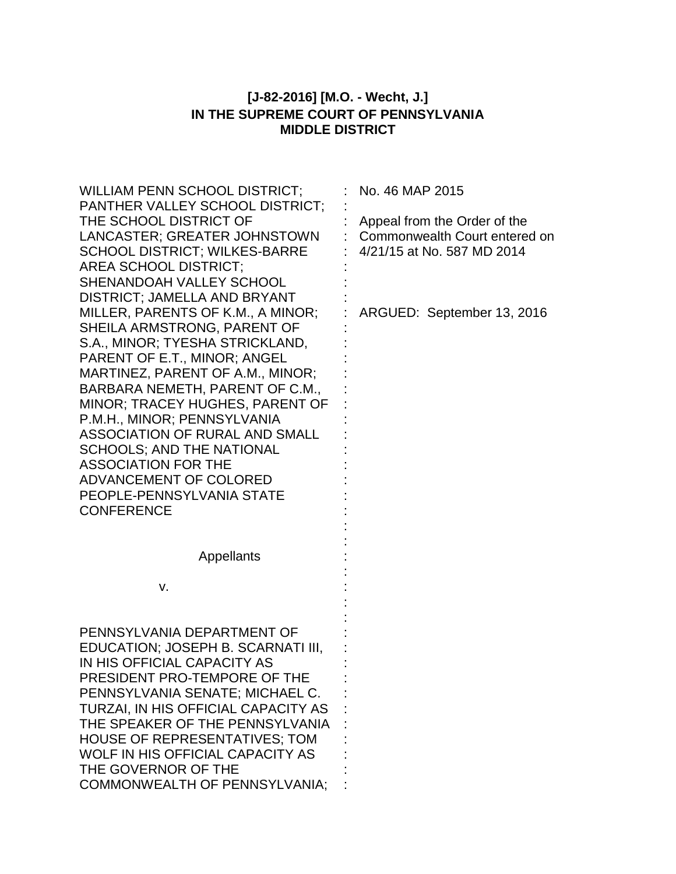# **[J-82-2016] [M.O. - Wecht, J.] IN THE SUPREME COURT OF PENNSYLVANIA MIDDLE DISTRICT**

| <b>WILLIAM PENN SCHOOL DISTRICT:</b><br>PANTHER VALLEY SCHOOL DISTRICT;<br>THE SCHOOL DISTRICT OF<br>LANCASTER; GREATER JOHNSTOWN<br>SCHOOL DISTRICT; WILKES-BARRE<br><b>AREA SCHOOL DISTRICT;</b><br>SHENANDOAH VALLEY SCHOOL<br>DISTRICT; JAMELLA AND BRYANT<br>MILLER, PARENTS OF K.M., A MINOR;<br>SHEILA ARMSTRONG, PARENT OF                                                       | No. 46 MAP 2015<br>Appeal from the Order of the<br>Commonwealth Court entered on<br>4/21/15 at No. 587 MD 2014<br>ARGUED: September 13, 2016 |
|------------------------------------------------------------------------------------------------------------------------------------------------------------------------------------------------------------------------------------------------------------------------------------------------------------------------------------------------------------------------------------------|----------------------------------------------------------------------------------------------------------------------------------------------|
| S.A., MINOR; TYESHA STRICKLAND,<br>PARENT OF E.T., MINOR; ANGEL<br>MARTINEZ, PARENT OF A.M., MINOR;<br>BARBARA NEMETH, PARENT OF C.M.,<br>MINOR; TRACEY HUGHES, PARENT OF<br>P.M.H., MINOR; PENNSYLVANIA<br>ASSOCIATION OF RURAL AND SMALL<br><b>SCHOOLS; AND THE NATIONAL</b><br><b>ASSOCIATION FOR THE</b><br>ADVANCEMENT OF COLORED<br>PEOPLE-PENNSYLVANIA STATE<br><b>CONFERENCE</b> |                                                                                                                                              |
| <b>Appellants</b>                                                                                                                                                                                                                                                                                                                                                                        |                                                                                                                                              |
| v.                                                                                                                                                                                                                                                                                                                                                                                       |                                                                                                                                              |
| PENNSYLVANIA DEPARTMENT OF<br>EDUCATION; JOSEPH B. SCARNATI III,<br>IN HIS OFFICIAL CAPACITY AS<br>PRESIDENT PRO-TEMPORE OF THE<br>PENNSYLVANIA SENATE; MICHAEL C.<br>TURZAI, IN HIS OFFICIAL CAPACITY AS<br>THE SPEAKER OF THE PENNSYLVANIA<br><b>HOUSE OF REPRESENTATIVES; TOM</b><br>WOLF IN HIS OFFICIAL CAPACITY AS<br>THE GOVERNOR OF THE<br><b>COMMONWEALTH OF PENNSYLVANIA;</b>  |                                                                                                                                              |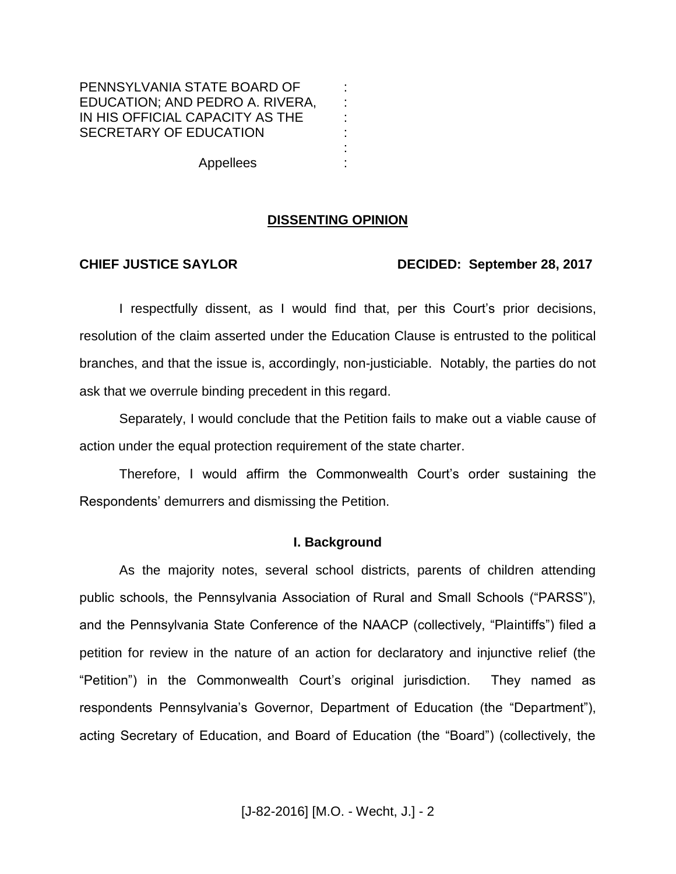## PENNSYLVANIA STATE BOARD OF EDUCATION; AND PEDRO A. RIVERA, IN HIS OFFICIAL CAPACITY AS THE SECRETARY OF EDUCATION

Appellees

### **DISSENTING OPINION**

: : : : : :

#### **CHIEF JUSTICE SAYLOR DECIDED: September 28, 2017**

I respectfully dissent, as I would find that, per this Court's prior decisions, resolution of the claim asserted under the Education Clause is entrusted to the political branches, and that the issue is, accordingly, non-justiciable. Notably, the parties do not ask that we overrule binding precedent in this regard.

Separately, I would conclude that the Petition fails to make out a viable cause of action under the equal protection requirement of the state charter.

Therefore, I would affirm the Commonwealth Court's order sustaining the Respondents' demurrers and dismissing the Petition.

#### **I. Background**

As the majority notes, several school districts, parents of children attending public schools, the Pennsylvania Association of Rural and Small Schools ("PARSS"), and the Pennsylvania State Conference of the NAACP (collectively, "Plaintiffs") filed a petition for review in the nature of an action for declaratory and injunctive relief (the "Petition") in the Commonwealth Court's original jurisdiction. They named as respondents Pennsylvania's Governor, Department of Education (the "Department"), acting Secretary of Education, and Board of Education (the "Board") (collectively, the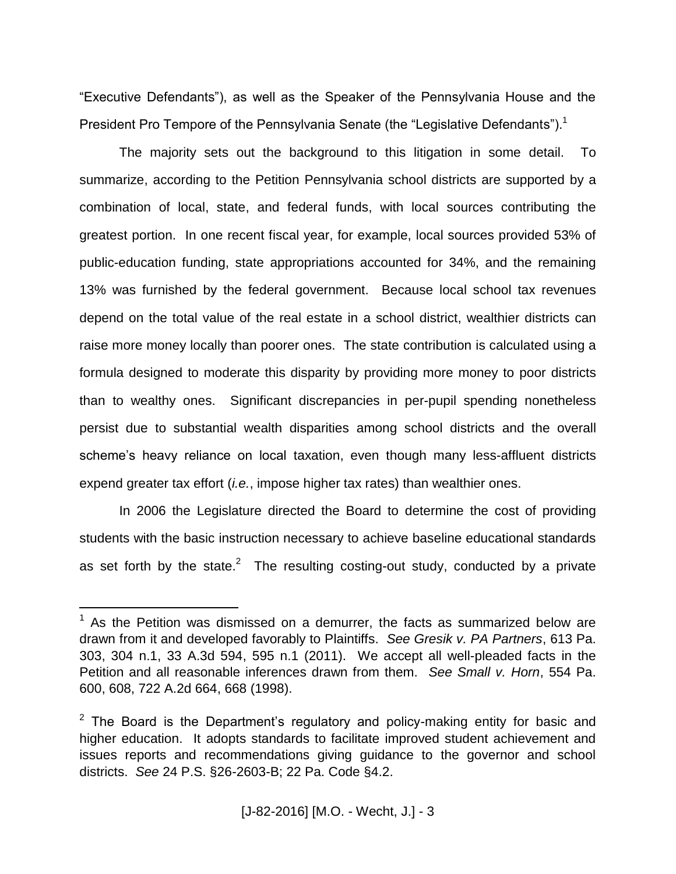"Executive Defendants"), as well as the Speaker of the Pennsylvania House and the President Pro Tempore of the Pennsylvania Senate (the "Legislative Defendants").<sup>1</sup>

The majority sets out the background to this litigation in some detail. To summarize, according to the Petition Pennsylvania school districts are supported by a combination of local, state, and federal funds, with local sources contributing the greatest portion. In one recent fiscal year, for example, local sources provided 53% of public-education funding, state appropriations accounted for 34%, and the remaining 13% was furnished by the federal government. Because local school tax revenues depend on the total value of the real estate in a school district, wealthier districts can raise more money locally than poorer ones. The state contribution is calculated using a formula designed to moderate this disparity by providing more money to poor districts than to wealthy ones. Significant discrepancies in per-pupil spending nonetheless persist due to substantial wealth disparities among school districts and the overall scheme's heavy reliance on local taxation, even though many less-affluent districts expend greater tax effort (*i.e.*, impose higher tax rates) than wealthier ones.

In 2006 the Legislature directed the Board to determine the cost of providing students with the basic instruction necessary to achieve baseline educational standards as set forth by the state.<sup>2</sup> The resulting costing-out study, conducted by a private

 $1$  As the Petition was dismissed on a demurrer, the facts as summarized below are drawn from it and developed favorably to Plaintiffs. *See Gresik v. PA Partners*, 613 Pa. 303, 304 n.1, 33 A.3d 594, 595 n.1 (2011). We accept all well-pleaded facts in the Petition and all reasonable inferences drawn from them. *See Small v. Horn*, 554 Pa. 600, 608, 722 A.2d 664, 668 (1998).

 $2$  The Board is the Department's regulatory and policy-making entity for basic and higher education. It adopts standards to facilitate improved student achievement and issues reports and recommendations giving guidance to the governor and school districts. *See* 24 P.S. §26-2603-B; 22 Pa. Code §4.2.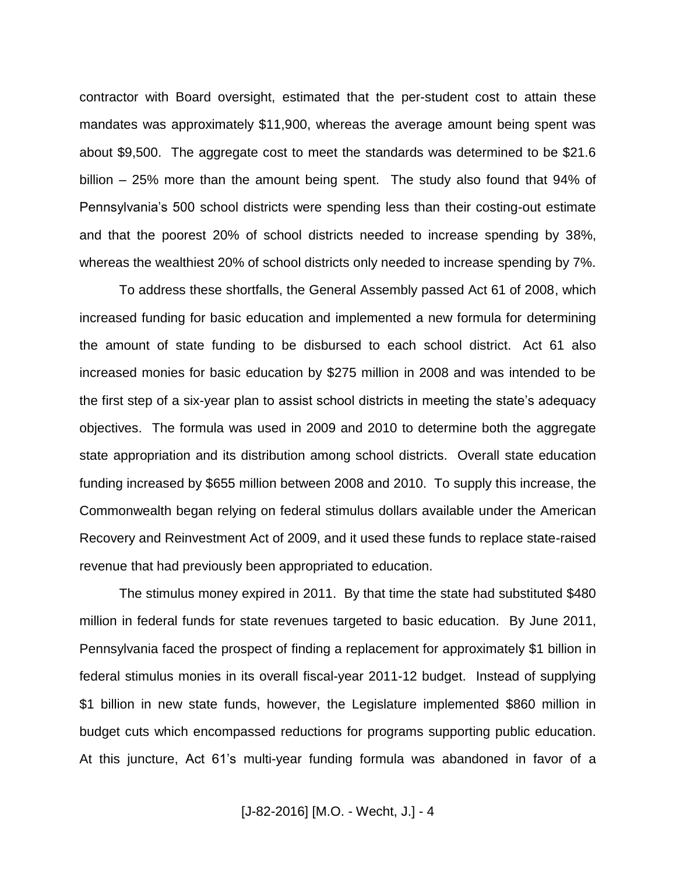contractor with Board oversight, estimated that the per-student cost to attain these mandates was approximately \$11,900, whereas the average amount being spent was about \$9,500. The aggregate cost to meet the standards was determined to be \$21.6 billion – 25% more than the amount being spent. The study also found that 94% of Pennsylvania's 500 school districts were spending less than their costing-out estimate and that the poorest 20% of school districts needed to increase spending by 38%, whereas the wealthiest 20% of school districts only needed to increase spending by 7%.

To address these shortfalls, the General Assembly passed Act 61 of 2008, which increased funding for basic education and implemented a new formula for determining the amount of state funding to be disbursed to each school district. Act 61 also increased monies for basic education by \$275 million in 2008 and was intended to be the first step of a six-year plan to assist school districts in meeting the state's adequacy objectives. The formula was used in 2009 and 2010 to determine both the aggregate state appropriation and its distribution among school districts. Overall state education funding increased by \$655 million between 2008 and 2010. To supply this increase, the Commonwealth began relying on federal stimulus dollars available under the American Recovery and Reinvestment Act of 2009, and it used these funds to replace state-raised revenue that had previously been appropriated to education.

The stimulus money expired in 2011. By that time the state had substituted \$480 million in federal funds for state revenues targeted to basic education. By June 2011, Pennsylvania faced the prospect of finding a replacement for approximately \$1 billion in federal stimulus monies in its overall fiscal-year 2011-12 budget. Instead of supplying \$1 billion in new state funds, however, the Legislature implemented \$860 million in budget cuts which encompassed reductions for programs supporting public education. At this juncture, Act 61's multi-year funding formula was abandoned in favor of a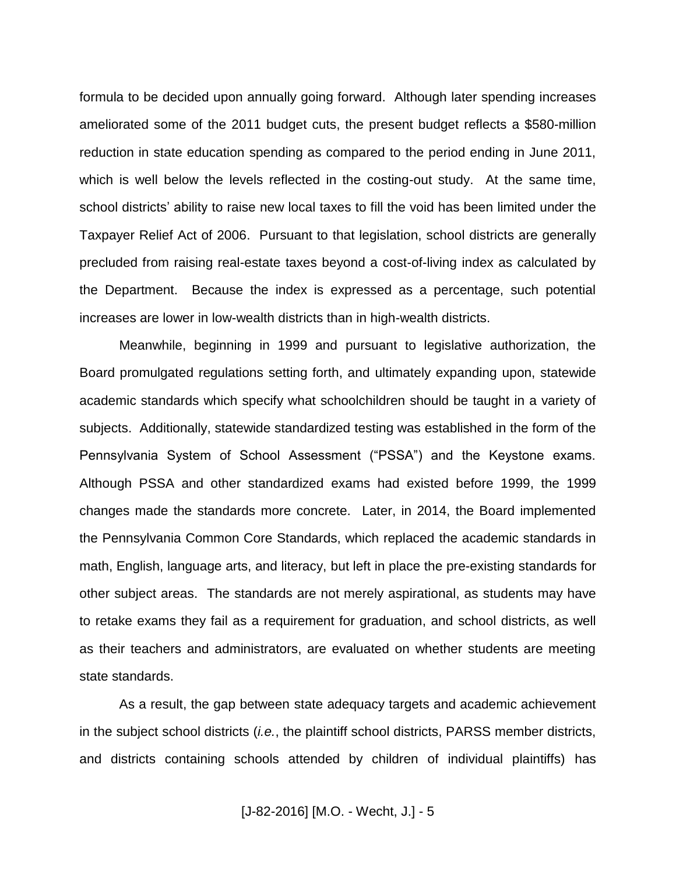formula to be decided upon annually going forward. Although later spending increases ameliorated some of the 2011 budget cuts, the present budget reflects a \$580-million reduction in state education spending as compared to the period ending in June 2011, which is well below the levels reflected in the costing-out study. At the same time, school districts' ability to raise new local taxes to fill the void has been limited under the Taxpayer Relief Act of 2006. Pursuant to that legislation, school districts are generally precluded from raising real-estate taxes beyond a cost-of-living index as calculated by the Department. Because the index is expressed as a percentage, such potential increases are lower in low-wealth districts than in high-wealth districts.

Meanwhile, beginning in 1999 and pursuant to legislative authorization, the Board promulgated regulations setting forth, and ultimately expanding upon, statewide academic standards which specify what schoolchildren should be taught in a variety of subjects. Additionally, statewide standardized testing was established in the form of the Pennsylvania System of School Assessment ("PSSA") and the Keystone exams. Although PSSA and other standardized exams had existed before 1999, the 1999 changes made the standards more concrete. Later, in 2014, the Board implemented the Pennsylvania Common Core Standards, which replaced the academic standards in math, English, language arts, and literacy, but left in place the pre-existing standards for other subject areas. The standards are not merely aspirational, as students may have to retake exams they fail as a requirement for graduation, and school districts, as well as their teachers and administrators, are evaluated on whether students are meeting state standards.

As a result, the gap between state adequacy targets and academic achievement in the subject school districts (*i.e.*, the plaintiff school districts, PARSS member districts, and districts containing schools attended by children of individual plaintiffs) has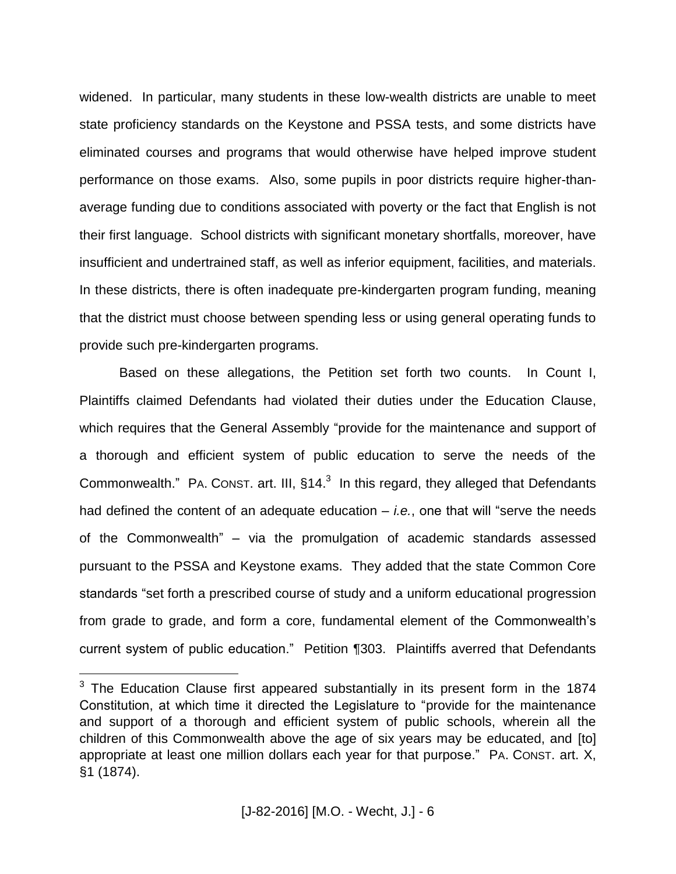widened. In particular, many students in these low-wealth districts are unable to meet state proficiency standards on the Keystone and PSSA tests, and some districts have eliminated courses and programs that would otherwise have helped improve student performance on those exams. Also, some pupils in poor districts require higher-thanaverage funding due to conditions associated with poverty or the fact that English is not their first language. School districts with significant monetary shortfalls, moreover, have insufficient and undertrained staff, as well as inferior equipment, facilities, and materials. In these districts, there is often inadequate pre-kindergarten program funding, meaning that the district must choose between spending less or using general operating funds to provide such pre-kindergarten programs.

Based on these allegations, the Petition set forth two counts. In Count I, Plaintiffs claimed Defendants had violated their duties under the Education Clause, which requires that the General Assembly "provide for the maintenance and support of a thorough and efficient system of public education to serve the needs of the Commonwealth." PA. CONST. art. III,  $§14.<sup>3</sup>$  In this regard, they alleged that Defendants had defined the content of an adequate education – *i.e.*, one that will "serve the needs of the Commonwealth" – via the promulgation of academic standards assessed pursuant to the PSSA and Keystone exams. They added that the state Common Core standards "set forth a prescribed course of study and a uniform educational progression from grade to grade, and form a core, fundamental element of the Commonwealth's current system of public education." Petition ¶303. Plaintiffs averred that Defendants

 $3$  The Education Clause first appeared substantially in its present form in the 1874 Constitution, at which time it directed the Legislature to "provide for the maintenance and support of a thorough and efficient system of public schools, wherein all the children of this Commonwealth above the age of six years may be educated, and [to] appropriate at least one million dollars each year for that purpose." PA. CONST. art. X, §1 (1874).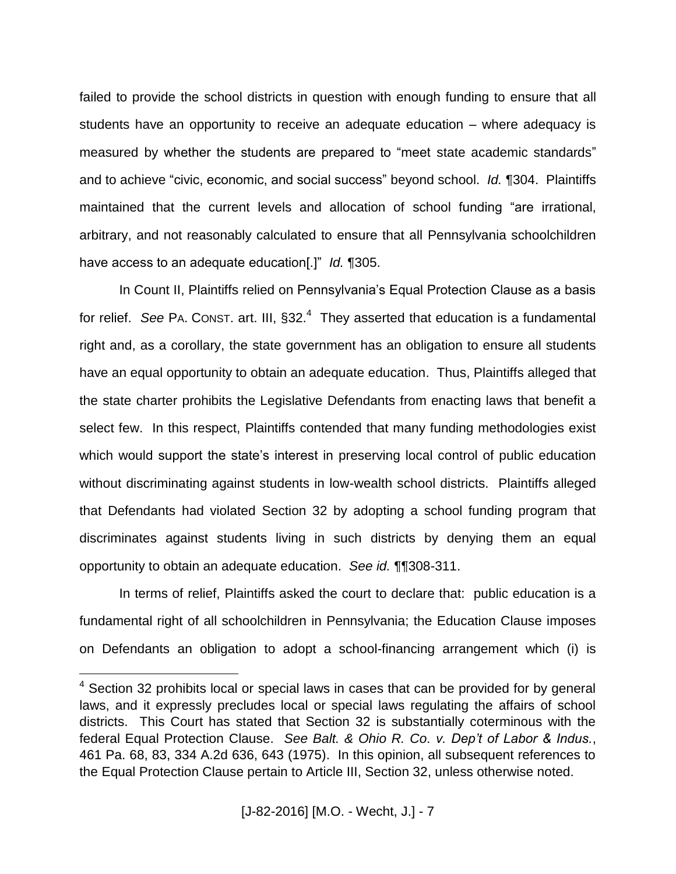failed to provide the school districts in question with enough funding to ensure that all students have an opportunity to receive an adequate education – where adequacy is measured by whether the students are prepared to "meet state academic standards" and to achieve "civic, economic, and social success" beyond school. *Id.* ¶304. Plaintiffs maintained that the current levels and allocation of school funding "are irrational, arbitrary, and not reasonably calculated to ensure that all Pennsylvania schoolchildren have access to an adequate education[.]" *Id.* ¶305.

In Count II, Plaintiffs relied on Pennsylvania's Equal Protection Clause as a basis for relief. See PA. Const. art. III, §32.<sup>4</sup> They asserted that education is a fundamental right and, as a corollary, the state government has an obligation to ensure all students have an equal opportunity to obtain an adequate education. Thus, Plaintiffs alleged that the state charter prohibits the Legislative Defendants from enacting laws that benefit a select few. In this respect, Plaintiffs contended that many funding methodologies exist which would support the state's interest in preserving local control of public education without discriminating against students in low-wealth school districts. Plaintiffs alleged that Defendants had violated Section 32 by adopting a school funding program that discriminates against students living in such districts by denying them an equal opportunity to obtain an adequate education. *See id.* ¶¶308-311.

In terms of relief, Plaintiffs asked the court to declare that: public education is a fundamental right of all schoolchildren in Pennsylvania; the Education Clause imposes on Defendants an obligation to adopt a school-financing arrangement which (i) is

 $4$  Section 32 prohibits local or special laws in cases that can be provided for by general laws, and it expressly precludes local or special laws regulating the affairs of school districts. This Court has stated that Section 32 is substantially coterminous with the federal Equal Protection Clause. *See Balt. & Ohio R. Co. v. Dep't of Labor & Indus.*, 461 Pa. 68, 83, 334 A.2d 636, 643 (1975). In this opinion, all subsequent references to the Equal Protection Clause pertain to Article III, Section 32, unless otherwise noted.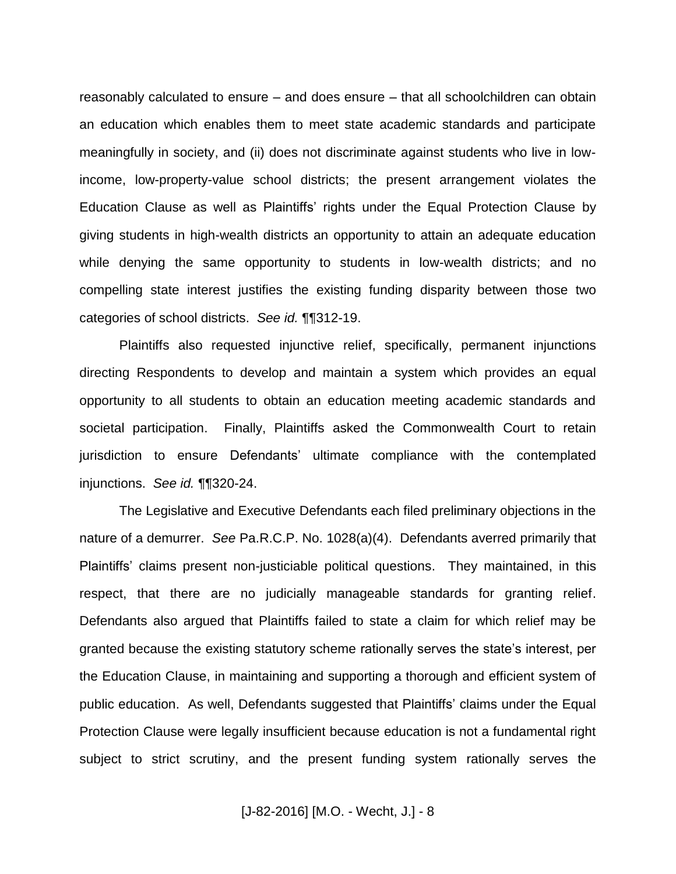reasonably calculated to ensure – and does ensure – that all schoolchildren can obtain an education which enables them to meet state academic standards and participate meaningfully in society, and (ii) does not discriminate against students who live in lowincome, low-property-value school districts; the present arrangement violates the Education Clause as well as Plaintiffs' rights under the Equal Protection Clause by giving students in high-wealth districts an opportunity to attain an adequate education while denying the same opportunity to students in low-wealth districts; and no compelling state interest justifies the existing funding disparity between those two categories of school districts. *See id.* ¶¶312-19.

Plaintiffs also requested injunctive relief, specifically, permanent injunctions directing Respondents to develop and maintain a system which provides an equal opportunity to all students to obtain an education meeting academic standards and societal participation. Finally, Plaintiffs asked the Commonwealth Court to retain jurisdiction to ensure Defendants' ultimate compliance with the contemplated injunctions. *See id.* ¶¶320-24.

The Legislative and Executive Defendants each filed preliminary objections in the nature of a demurrer. *See* Pa.R.C.P. No. 1028(a)(4). Defendants averred primarily that Plaintiffs' claims present non-justiciable political questions. They maintained, in this respect, that there are no judicially manageable standards for granting relief. Defendants also argued that Plaintiffs failed to state a claim for which relief may be granted because the existing statutory scheme rationally serves the state's interest, per the Education Clause, in maintaining and supporting a thorough and efficient system of public education. As well, Defendants suggested that Plaintiffs' claims under the Equal Protection Clause were legally insufficient because education is not a fundamental right subject to strict scrutiny, and the present funding system rationally serves the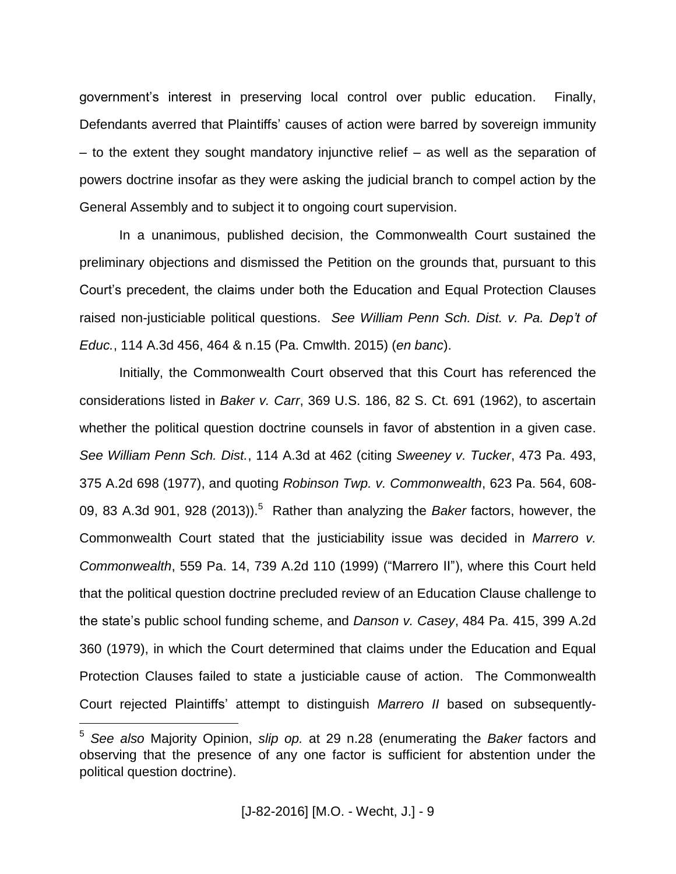government's interest in preserving local control over public education. Finally, Defendants averred that Plaintiffs' causes of action were barred by sovereign immunity – to the extent they sought mandatory injunctive relief – as well as the separation of powers doctrine insofar as they were asking the judicial branch to compel action by the General Assembly and to subject it to ongoing court supervision.

In a unanimous, published decision, the Commonwealth Court sustained the preliminary objections and dismissed the Petition on the grounds that, pursuant to this Court's precedent, the claims under both the Education and Equal Protection Clauses raised non-justiciable political questions. *See William Penn Sch. Dist. v. Pa. Dep't of Educ.*, 114 A.3d 456, 464 & n.15 (Pa. Cmwlth. 2015) (*en banc*).

Initially, the Commonwealth Court observed that this Court has referenced the considerations listed in *Baker v. Carr*, 369 U.S. 186, 82 S. Ct. 691 (1962), to ascertain whether the political question doctrine counsels in favor of abstention in a given case. *See William Penn Sch. Dist.*, 114 A.3d at 462 (citing *Sweeney v. Tucker*, 473 Pa. 493, 375 A.2d 698 (1977), and quoting *Robinson Twp. v. Commonwealth*, 623 Pa. 564, 608- 09, 83 A.3d 901, 928 (2013)).<sup>5</sup> Rather than analyzing the *Baker* factors, however, the Commonwealth Court stated that the justiciability issue was decided in *Marrero v. Commonwealth*, 559 Pa. 14, 739 A.2d 110 (1999) ("Marrero II"), where this Court held that the political question doctrine precluded review of an Education Clause challenge to the state's public school funding scheme, and *Danson v. Casey*, 484 Pa. 415, 399 A.2d 360 (1979), in which the Court determined that claims under the Education and Equal Protection Clauses failed to state a justiciable cause of action. The Commonwealth Court rejected Plaintiffs' attempt to distinguish *Marrero II* based on subsequently-

<sup>5</sup> *See also* Majority Opinion, *slip op.* at 29 n.28 (enumerating the *Baker* factors and observing that the presence of any one factor is sufficient for abstention under the political question doctrine).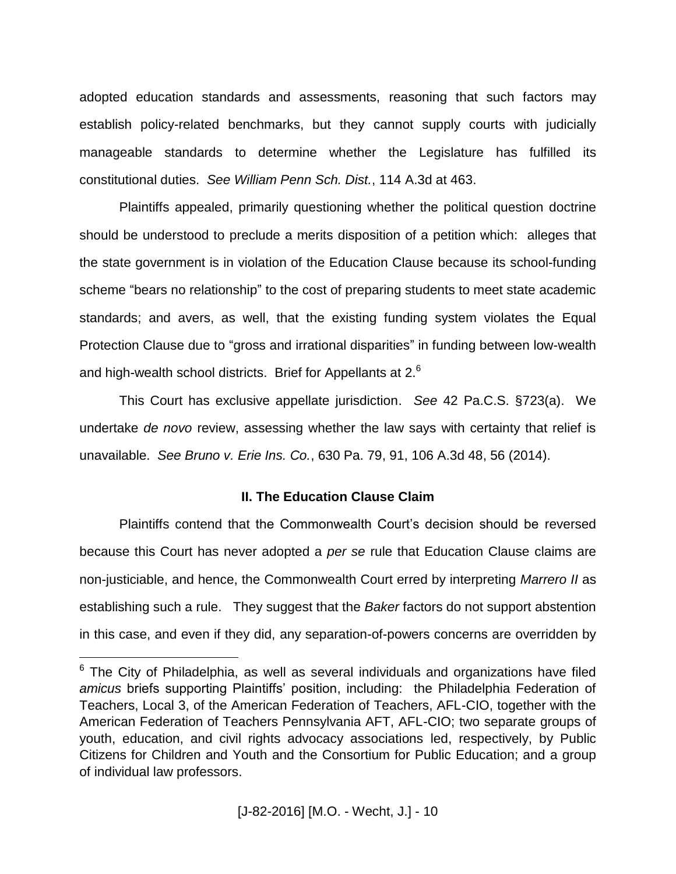adopted education standards and assessments, reasoning that such factors may establish policy-related benchmarks, but they cannot supply courts with judicially manageable standards to determine whether the Legislature has fulfilled its constitutional duties. *See William Penn Sch. Dist.*, 114 A.3d at 463.

Plaintiffs appealed, primarily questioning whether the political question doctrine should be understood to preclude a merits disposition of a petition which: alleges that the state government is in violation of the Education Clause because its school-funding scheme "bears no relationship" to the cost of preparing students to meet state academic standards; and avers, as well, that the existing funding system violates the Equal Protection Clause due to "gross and irrational disparities" in funding between low-wealth and high-wealth school districts. Brief for Appellants at 2.<sup>6</sup>

This Court has exclusive appellate jurisdiction. *See* 42 Pa.C.S. §723(a). We undertake *de novo* review, assessing whether the law says with certainty that relief is unavailable. *See Bruno v. Erie Ins. Co.*, 630 Pa. 79, 91, 106 A.3d 48, 56 (2014).

## **II. The Education Clause Claim**

Plaintiffs contend that the Commonwealth Court's decision should be reversed because this Court has never adopted a *per se* rule that Education Clause claims are non-justiciable, and hence, the Commonwealth Court erred by interpreting *Marrero II* as establishing such a rule. They suggest that the *Baker* factors do not support abstention in this case, and even if they did, any separation-of-powers concerns are overridden by

 $6$  The City of Philadelphia, as well as several individuals and organizations have filed *amicus* briefs supporting Plaintiffs' position, including: the Philadelphia Federation of Teachers, Local 3, of the American Federation of Teachers, AFL-CIO, together with the American Federation of Teachers Pennsylvania AFT, AFL-CIO; two separate groups of youth, education, and civil rights advocacy associations led, respectively, by Public Citizens for Children and Youth and the Consortium for Public Education; and a group of individual law professors.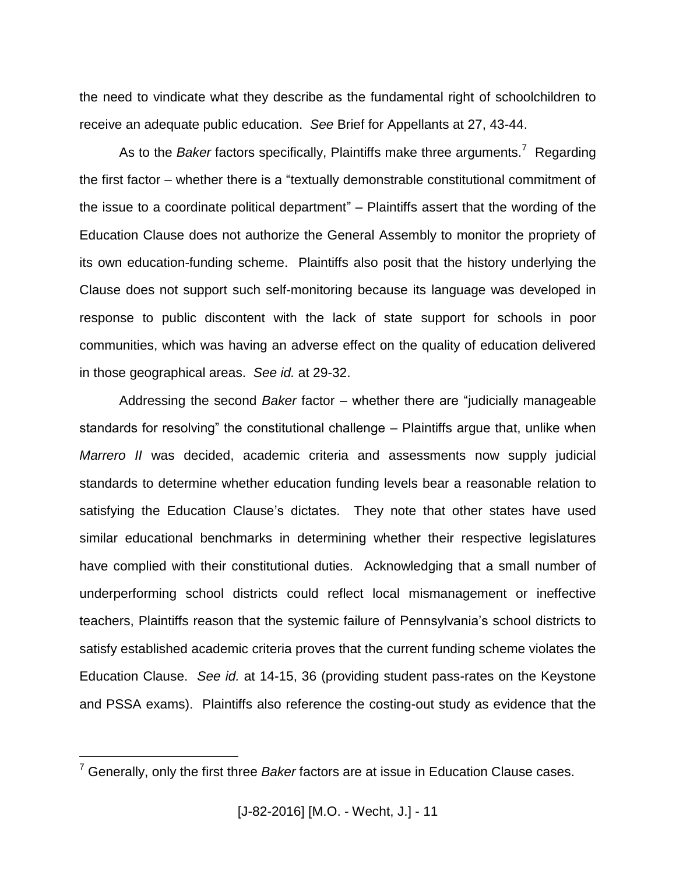the need to vindicate what they describe as the fundamental right of schoolchildren to receive an adequate public education. *See* Brief for Appellants at 27, 43-44.

As to the *Baker* factors specifically, Plaintiffs make three arguments.<sup>7</sup> Regarding the first factor – whether there is a "textually demonstrable constitutional commitment of the issue to a coordinate political department" – Plaintiffs assert that the wording of the Education Clause does not authorize the General Assembly to monitor the propriety of its own education-funding scheme. Plaintiffs also posit that the history underlying the Clause does not support such self-monitoring because its language was developed in response to public discontent with the lack of state support for schools in poor communities, which was having an adverse effect on the quality of education delivered in those geographical areas. *See id.* at 29-32.

Addressing the second *Baker* factor – whether there are "judicially manageable standards for resolving" the constitutional challenge – Plaintiffs argue that, unlike when *Marrero II* was decided, academic criteria and assessments now supply judicial standards to determine whether education funding levels bear a reasonable relation to satisfying the Education Clause's dictates. They note that other states have used similar educational benchmarks in determining whether their respective legislatures have complied with their constitutional duties. Acknowledging that a small number of underperforming school districts could reflect local mismanagement or ineffective teachers, Plaintiffs reason that the systemic failure of Pennsylvania's school districts to satisfy established academic criteria proves that the current funding scheme violates the Education Clause. *See id.* at 14-15, 36 (providing student pass-rates on the Keystone and PSSA exams). Plaintiffs also reference the costing-out study as evidence that the

<sup>7</sup> Generally, only the first three *Baker* factors are at issue in Education Clause cases.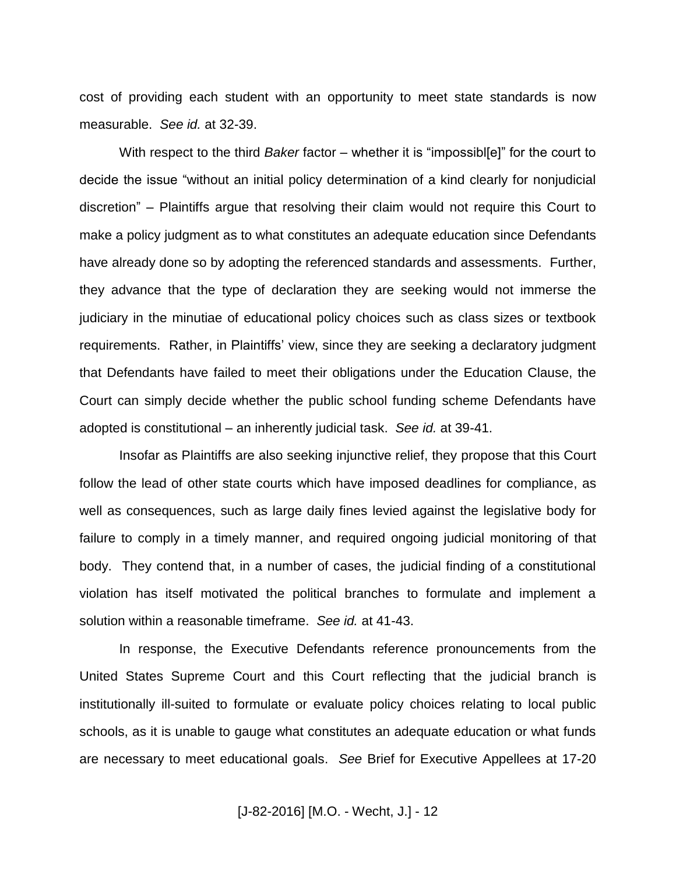cost of providing each student with an opportunity to meet state standards is now measurable. *See id.* at 32-39.

With respect to the third *Baker* factor – whether it is "impossibl[e]" for the court to decide the issue "without an initial policy determination of a kind clearly for nonjudicial discretion" – Plaintiffs argue that resolving their claim would not require this Court to make a policy judgment as to what constitutes an adequate education since Defendants have already done so by adopting the referenced standards and assessments. Further, they advance that the type of declaration they are seeking would not immerse the judiciary in the minutiae of educational policy choices such as class sizes or textbook requirements. Rather, in Plaintiffs' view, since they are seeking a declaratory judgment that Defendants have failed to meet their obligations under the Education Clause, the Court can simply decide whether the public school funding scheme Defendants have adopted is constitutional – an inherently judicial task. *See id.* at 39-41.

Insofar as Plaintiffs are also seeking injunctive relief, they propose that this Court follow the lead of other state courts which have imposed deadlines for compliance, as well as consequences, such as large daily fines levied against the legislative body for failure to comply in a timely manner, and required ongoing judicial monitoring of that body. They contend that, in a number of cases, the judicial finding of a constitutional violation has itself motivated the political branches to formulate and implement a solution within a reasonable timeframe. *See id.* at 41-43.

In response, the Executive Defendants reference pronouncements from the United States Supreme Court and this Court reflecting that the judicial branch is institutionally ill-suited to formulate or evaluate policy choices relating to local public schools, as it is unable to gauge what constitutes an adequate education or what funds are necessary to meet educational goals. *See* Brief for Executive Appellees at 17-20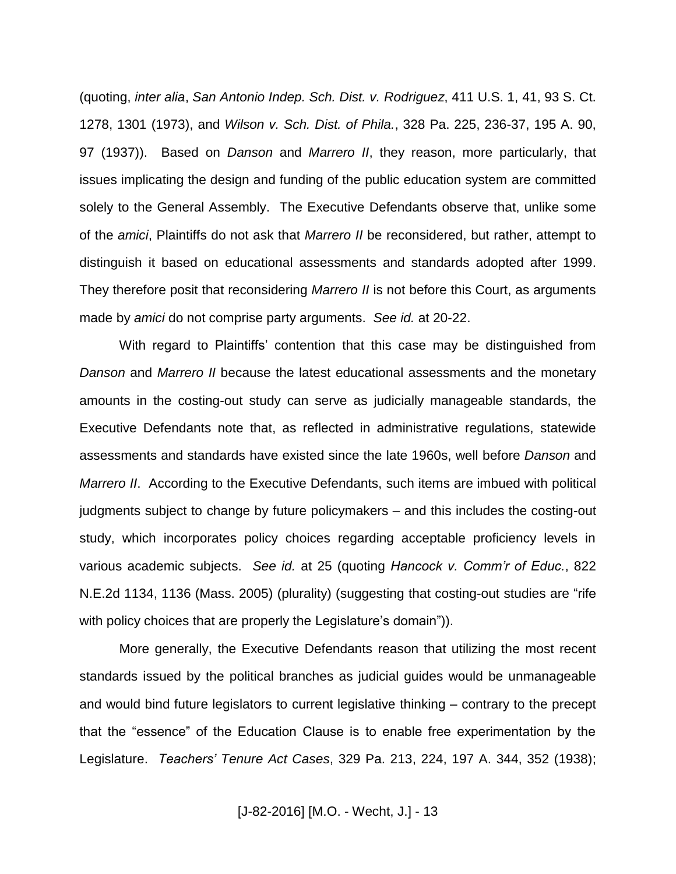(quoting, *inter alia*, *San Antonio Indep. Sch. Dist. v. Rodriguez*, 411 U.S. 1, 41, 93 S. Ct. 1278, 1301 (1973), and *Wilson v. Sch. Dist. of Phila.*, 328 Pa. 225, 236-37, 195 A. 90, 97 (1937)). Based on *Danson* and *Marrero II*, they reason, more particularly, that issues implicating the design and funding of the public education system are committed solely to the General Assembly. The Executive Defendants observe that, unlike some of the *amici*, Plaintiffs do not ask that *Marrero II* be reconsidered, but rather, attempt to distinguish it based on educational assessments and standards adopted after 1999. They therefore posit that reconsidering *Marrero II* is not before this Court, as arguments made by *amici* do not comprise party arguments. *See id.* at 20-22.

With regard to Plaintiffs' contention that this case may be distinguished from *Danson* and *Marrero II* because the latest educational assessments and the monetary amounts in the costing-out study can serve as judicially manageable standards, the Executive Defendants note that, as reflected in administrative regulations, statewide assessments and standards have existed since the late 1960s, well before *Danson* and *Marrero II*. According to the Executive Defendants, such items are imbued with political judgments subject to change by future policymakers – and this includes the costing-out study, which incorporates policy choices regarding acceptable proficiency levels in various academic subjects. *See id.* at 25 (quoting *Hancock v. Comm'r of Educ.*, 822 N.E.2d 1134, 1136 (Mass. 2005) (plurality) (suggesting that costing-out studies are "rife with policy choices that are properly the Legislature's domain")).

More generally, the Executive Defendants reason that utilizing the most recent standards issued by the political branches as judicial guides would be unmanageable and would bind future legislators to current legislative thinking – contrary to the precept that the "essence" of the Education Clause is to enable free experimentation by the Legislature. *Teachers' Tenure Act Cases*, 329 Pa. 213, 224, 197 A. 344, 352 (1938);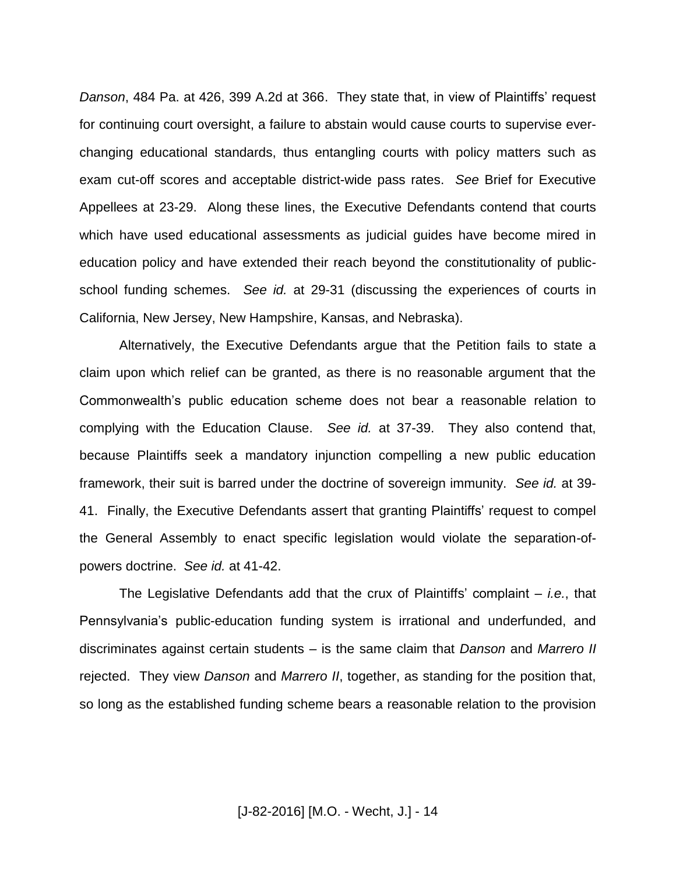*Danson*, 484 Pa. at 426, 399 A.2d at 366. They state that, in view of Plaintiffs' request for continuing court oversight, a failure to abstain would cause courts to supervise everchanging educational standards, thus entangling courts with policy matters such as exam cut-off scores and acceptable district-wide pass rates. *See* Brief for Executive Appellees at 23-29. Along these lines, the Executive Defendants contend that courts which have used educational assessments as judicial guides have become mired in education policy and have extended their reach beyond the constitutionality of publicschool funding schemes. *See id.* at 29-31 (discussing the experiences of courts in California, New Jersey, New Hampshire, Kansas, and Nebraska).

Alternatively, the Executive Defendants argue that the Petition fails to state a claim upon which relief can be granted, as there is no reasonable argument that the Commonwealth's public education scheme does not bear a reasonable relation to complying with the Education Clause. *See id.* at 37-39. They also contend that, because Plaintiffs seek a mandatory injunction compelling a new public education framework, their suit is barred under the doctrine of sovereign immunity. *See id.* at 39- 41. Finally, the Executive Defendants assert that granting Plaintiffs' request to compel the General Assembly to enact specific legislation would violate the separation-ofpowers doctrine. *See id.* at 41-42.

The Legislative Defendants add that the crux of Plaintiffs' complaint – *i.e.*, that Pennsylvania's public-education funding system is irrational and underfunded, and discriminates against certain students – is the same claim that *Danson* and *Marrero II* rejected. They view *Danson* and *Marrero II*, together, as standing for the position that, so long as the established funding scheme bears a reasonable relation to the provision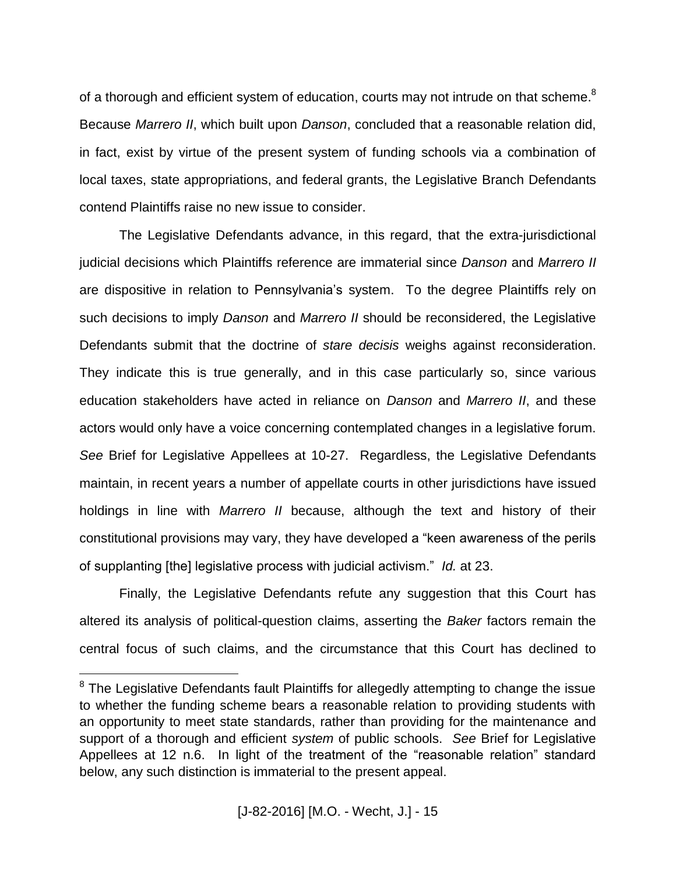of a thorough and efficient system of education, courts may not intrude on that scheme. $8$ Because *Marrero II*, which built upon *Danson*, concluded that a reasonable relation did, in fact, exist by virtue of the present system of funding schools via a combination of local taxes, state appropriations, and federal grants, the Legislative Branch Defendants contend Plaintiffs raise no new issue to consider.

The Legislative Defendants advance, in this regard, that the extra-jurisdictional judicial decisions which Plaintiffs reference are immaterial since *Danson* and *Marrero II* are dispositive in relation to Pennsylvania's system. To the degree Plaintiffs rely on such decisions to imply *Danson* and *Marrero II* should be reconsidered, the Legislative Defendants submit that the doctrine of *stare decisis* weighs against reconsideration. They indicate this is true generally, and in this case particularly so, since various education stakeholders have acted in reliance on *Danson* and *Marrero II*, and these actors would only have a voice concerning contemplated changes in a legislative forum. *See* Brief for Legislative Appellees at 10-27. Regardless, the Legislative Defendants maintain, in recent years a number of appellate courts in other jurisdictions have issued holdings in line with *Marrero II* because, although the text and history of their constitutional provisions may vary, they have developed a "keen awareness of the perils of supplanting [the] legislative process with judicial activism." *Id.* at 23.

Finally, the Legislative Defendants refute any suggestion that this Court has altered its analysis of political-question claims, asserting the *Baker* factors remain the central focus of such claims, and the circumstance that this Court has declined to

<sup>&</sup>lt;sup>8</sup> The Legislative Defendants fault Plaintiffs for allegedly attempting to change the issue to whether the funding scheme bears a reasonable relation to providing students with an opportunity to meet state standards, rather than providing for the maintenance and support of a thorough and efficient *system* of public schools. *See* Brief for Legislative Appellees at 12 n.6. In light of the treatment of the "reasonable relation" standard below, any such distinction is immaterial to the present appeal.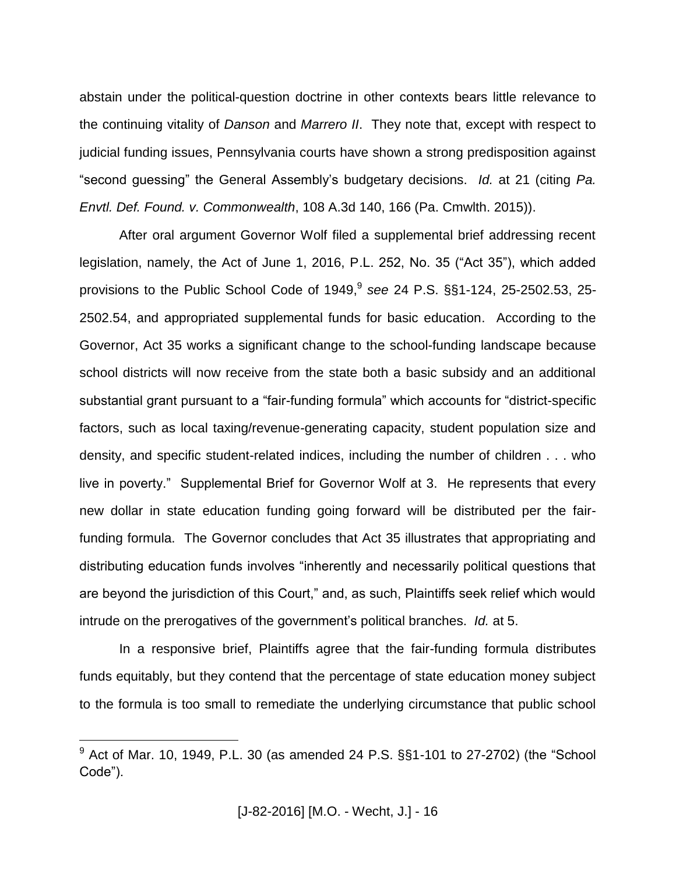abstain under the political-question doctrine in other contexts bears little relevance to the continuing vitality of *Danson* and *Marrero II*. They note that, except with respect to judicial funding issues, Pennsylvania courts have shown a strong predisposition against "second guessing" the General Assembly's budgetary decisions. *Id.* at 21 (citing *Pa. Envtl. Def. Found. v. Commonwealth*, 108 A.3d 140, 166 (Pa. Cmwlth. 2015)).

After oral argument Governor Wolf filed a supplemental brief addressing recent legislation, namely, the Act of June 1, 2016, P.L. 252, No. 35 ("Act 35"), which added provisions to the Public School Code of 1949, 9 *see* 24 P.S. §§1-124, 25-2502.53, 25- 2502.54, and appropriated supplemental funds for basic education. According to the Governor, Act 35 works a significant change to the school-funding landscape because school districts will now receive from the state both a basic subsidy and an additional substantial grant pursuant to a "fair-funding formula" which accounts for "district-specific factors, such as local taxing/revenue-generating capacity, student population size and density, and specific student-related indices, including the number of children . . . who live in poverty." Supplemental Brief for Governor Wolf at 3. He represents that every new dollar in state education funding going forward will be distributed per the fairfunding formula. The Governor concludes that Act 35 illustrates that appropriating and distributing education funds involves "inherently and necessarily political questions that are beyond the jurisdiction of this Court," and, as such, Plaintiffs seek relief which would intrude on the prerogatives of the government's political branches. *Id.* at 5.

In a responsive brief, Plaintiffs agree that the fair-funding formula distributes funds equitably, but they contend that the percentage of state education money subject to the formula is too small to remediate the underlying circumstance that public school

 $9$  Act of Mar. 10, 1949, P.L. 30 (as amended 24 P.S.  $\S$ §1-101 to 27-2702) (the "School Code").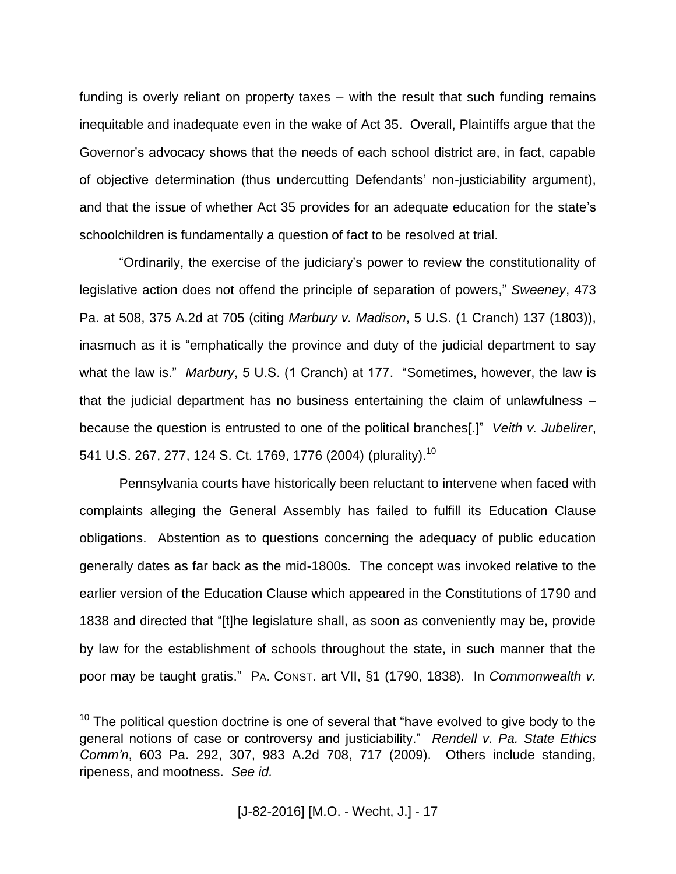funding is overly reliant on property taxes – with the result that such funding remains inequitable and inadequate even in the wake of Act 35. Overall, Plaintiffs argue that the Governor's advocacy shows that the needs of each school district are, in fact, capable of objective determination (thus undercutting Defendants' non-justiciability argument), and that the issue of whether Act 35 provides for an adequate education for the state's schoolchildren is fundamentally a question of fact to be resolved at trial.

"Ordinarily, the exercise of the judiciary's power to review the constitutionality of legislative action does not offend the principle of separation of powers," *Sweeney*, 473 Pa. at 508, 375 A.2d at 705 (citing *Marbury v. Madison*, 5 U.S. (1 Cranch) 137 (1803)), inasmuch as it is "emphatically the province and duty of the judicial department to say what the law is." *Marbury*, 5 U.S. (1 Cranch) at 177. "Sometimes, however, the law is that the judicial department has no business entertaining the claim of unlawfulness – because the question is entrusted to one of the political branches[.]" *Veith v. Jubelirer*, 541 U.S. 267, 277, 124 S. Ct. 1769, 1776 (2004) (plurality).<sup>10</sup>

Pennsylvania courts have historically been reluctant to intervene when faced with complaints alleging the General Assembly has failed to fulfill its Education Clause obligations. Abstention as to questions concerning the adequacy of public education generally dates as far back as the mid-1800s. The concept was invoked relative to the earlier version of the Education Clause which appeared in the Constitutions of 1790 and 1838 and directed that "[t]he legislature shall, as soon as conveniently may be, provide by law for the establishment of schools throughout the state, in such manner that the poor may be taught gratis." PA. CONST. art VII, §1 (1790, 1838). In *Commonwealth v.* 

 $10$  The political question doctrine is one of several that "have evolved to give body to the general notions of case or controversy and justiciability." *Rendell v. Pa. State Ethics Comm'n*, 603 Pa. 292, 307, 983 A.2d 708, 717 (2009). Others include standing, ripeness, and mootness. *See id.*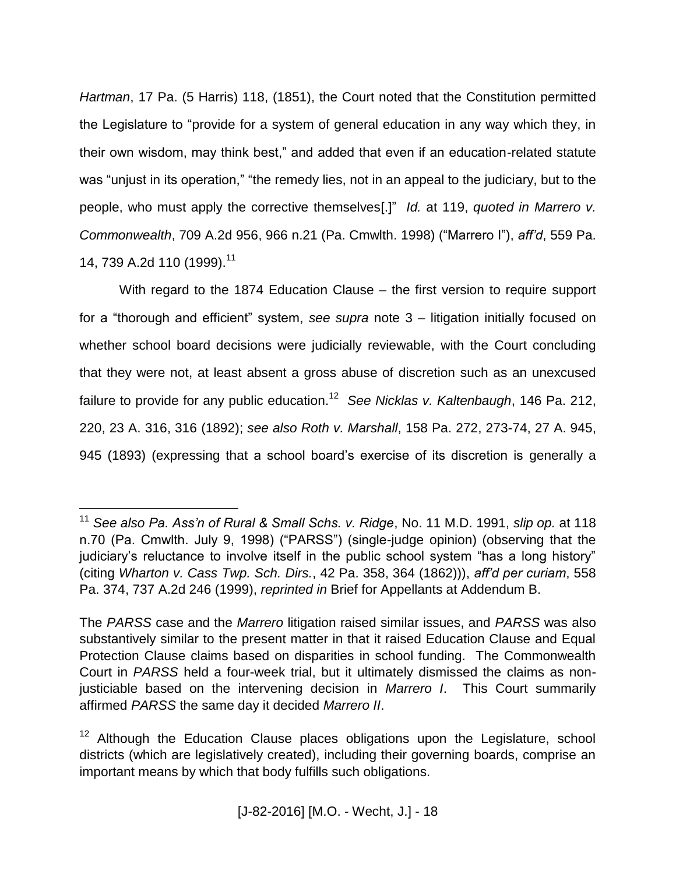*Hartman*, 17 Pa. (5 Harris) 118, (1851), the Court noted that the Constitution permitted the Legislature to "provide for a system of general education in any way which they, in their own wisdom, may think best," and added that even if an education-related statute was "unjust in its operation," "the remedy lies, not in an appeal to the judiciary, but to the people, who must apply the corrective themselves[.]" *Id.* at 119, *quoted in Marrero v. Commonwealth*, 709 A.2d 956, 966 n.21 (Pa. Cmwlth. 1998) ("Marrero I"), *aff'd*, 559 Pa. 14, 739 A.2d 110 (1999). 11

With regard to the 1874 Education Clause – the first version to require support for a "thorough and efficient" system, *see supra* note 3 – litigation initially focused on whether school board decisions were judicially reviewable, with the Court concluding that they were not, at least absent a gross abuse of discretion such as an unexcused failure to provide for any public education.<sup>12</sup> See Nicklas v. Kaltenbaugh, 146 Pa. 212, 220, 23 A. 316, 316 (1892); *see also Roth v. Marshall*, 158 Pa. 272, 273-74, 27 A. 945, 945 (1893) (expressing that a school board's exercise of its discretion is generally a

<sup>11</sup> *See also Pa. Ass'n of Rural & Small Schs. v. Ridge*, No. 11 M.D. 1991, *slip op.* at 118 n.70 (Pa. Cmwlth. July 9, 1998) ("PARSS") (single-judge opinion) (observing that the judiciary's reluctance to involve itself in the public school system "has a long history" (citing *Wharton v. Cass Twp. Sch. Dirs.*, 42 Pa. 358, 364 (1862))), *aff'd per curiam*, 558 Pa. 374, 737 A.2d 246 (1999), *reprinted in* Brief for Appellants at Addendum B.

The *PARSS* case and the *Marrero* litigation raised similar issues, and *PARSS* was also substantively similar to the present matter in that it raised Education Clause and Equal Protection Clause claims based on disparities in school funding. The Commonwealth Court in *PARSS* held a four-week trial, but it ultimately dismissed the claims as nonjusticiable based on the intervening decision in *Marrero I*. This Court summarily affirmed *PARSS* the same day it decided *Marrero II*.

<sup>&</sup>lt;sup>12</sup> Although the Education Clause places obligations upon the Legislature, school districts (which are legislatively created), including their governing boards, comprise an important means by which that body fulfills such obligations.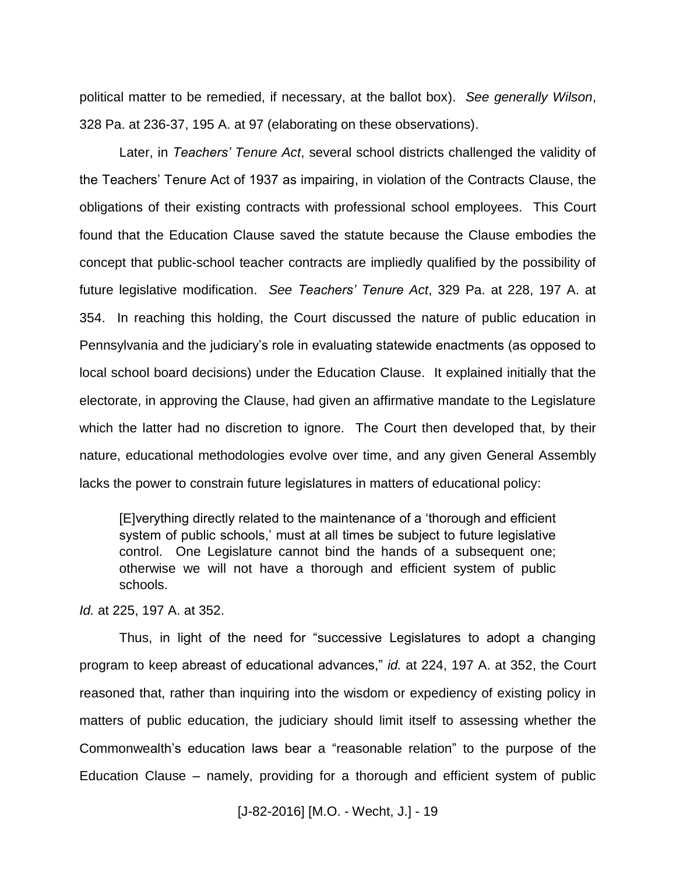political matter to be remedied, if necessary, at the ballot box). *See generally Wilson*, 328 Pa. at 236-37, 195 A. at 97 (elaborating on these observations).

Later, in *Teachers' Tenure Act*, several school districts challenged the validity of the Teachers' Tenure Act of 1937 as impairing, in violation of the Contracts Clause, the obligations of their existing contracts with professional school employees. This Court found that the Education Clause saved the statute because the Clause embodies the concept that public-school teacher contracts are impliedly qualified by the possibility of future legislative modification. *See Teachers' Tenure Act*, 329 Pa. at 228, 197 A. at 354. In reaching this holding, the Court discussed the nature of public education in Pennsylvania and the judiciary's role in evaluating statewide enactments (as opposed to local school board decisions) under the Education Clause. It explained initially that the electorate, in approving the Clause, had given an affirmative mandate to the Legislature which the latter had no discretion to ignore. The Court then developed that, by their nature, educational methodologies evolve over time, and any given General Assembly lacks the power to constrain future legislatures in matters of educational policy:

[E]verything directly related to the maintenance of a 'thorough and efficient system of public schools,' must at all times be subject to future legislative control. One Legislature cannot bind the hands of a subsequent one; otherwise we will not have a thorough and efficient system of public schools.

*Id.* at 225, 197 A. at 352.

Thus, in light of the need for "successive Legislatures to adopt a changing program to keep abreast of educational advances," *id.* at 224, 197 A. at 352, the Court reasoned that, rather than inquiring into the wisdom or expediency of existing policy in matters of public education, the judiciary should limit itself to assessing whether the Commonwealth's education laws bear a "reasonable relation" to the purpose of the Education Clause – namely, providing for a thorough and efficient system of public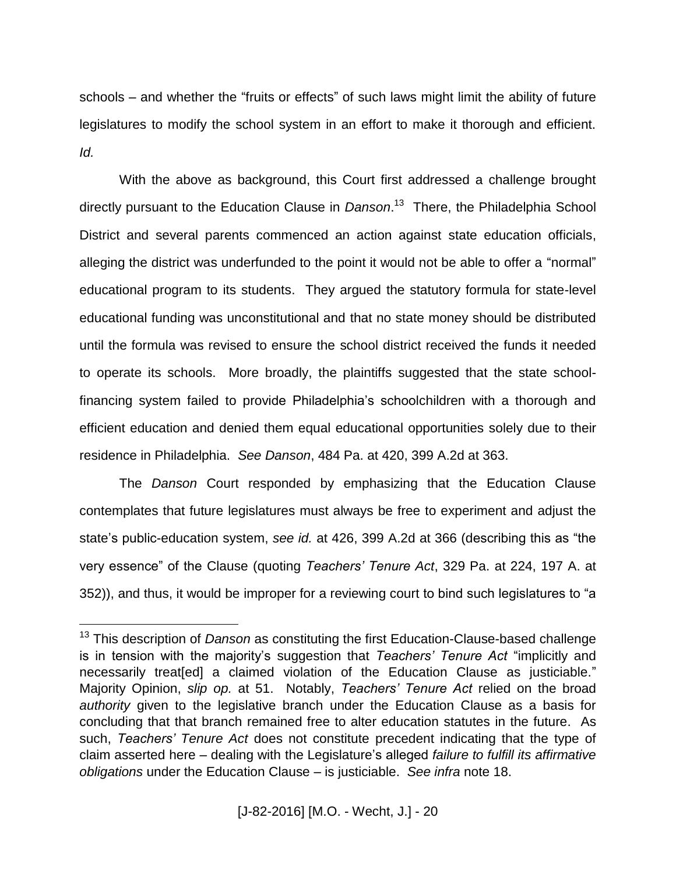schools – and whether the "fruits or effects" of such laws might limit the ability of future legislatures to modify the school system in an effort to make it thorough and efficient. *Id.*

With the above as background, this Court first addressed a challenge brought directly pursuant to the Education Clause in *Danson*. 13 There, the Philadelphia School District and several parents commenced an action against state education officials, alleging the district was underfunded to the point it would not be able to offer a "normal" educational program to its students. They argued the statutory formula for state-level educational funding was unconstitutional and that no state money should be distributed until the formula was revised to ensure the school district received the funds it needed to operate its schools. More broadly, the plaintiffs suggested that the state schoolfinancing system failed to provide Philadelphia's schoolchildren with a thorough and efficient education and denied them equal educational opportunities solely due to their residence in Philadelphia. *See Danson*, 484 Pa. at 420, 399 A.2d at 363.

The *Danson* Court responded by emphasizing that the Education Clause contemplates that future legislatures must always be free to experiment and adjust the state's public-education system, *see id.* at 426, 399 A.2d at 366 (describing this as "the very essence" of the Clause (quoting *Teachers' Tenure Act*, 329 Pa. at 224, 197 A. at 352)), and thus, it would be improper for a reviewing court to bind such legislatures to "a

<sup>13</sup> This description of *Danson* as constituting the first Education-Clause-based challenge is in tension with the majority's suggestion that *Teachers' Tenure Act* "implicitly and necessarily treat[ed] a claimed violation of the Education Clause as justiciable." Majority Opinion, *slip op.* at 51. Notably, *Teachers' Tenure Act* relied on the broad *authority* given to the legislative branch under the Education Clause as a basis for concluding that that branch remained free to alter education statutes in the future. As such, *Teachers' Tenure Act* does not constitute precedent indicating that the type of claim asserted here – dealing with the Legislature's alleged *failure to fulfill its affirmative obligations* under the Education Clause – is justiciable. *See infra* note 18.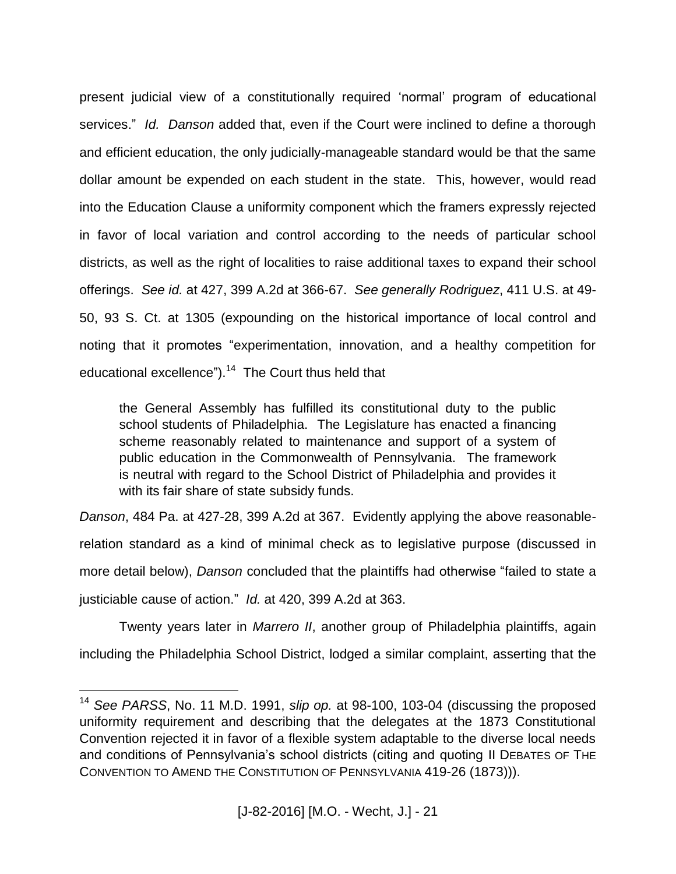present judicial view of a constitutionally required 'normal' program of educational services." *Id. Danson* added that, even if the Court were inclined to define a thorough and efficient education, the only judicially-manageable standard would be that the same dollar amount be expended on each student in the state. This, however, would read into the Education Clause a uniformity component which the framers expressly rejected in favor of local variation and control according to the needs of particular school districts, as well as the right of localities to raise additional taxes to expand their school offerings. *See id.* at 427, 399 A.2d at 366-67. *See generally Rodriguez*, 411 U.S. at 49- 50, 93 S. Ct. at 1305 (expounding on the historical importance of local control and noting that it promotes "experimentation, innovation, and a healthy competition for educational excellence").<sup>14</sup> The Court thus held that

the General Assembly has fulfilled its constitutional duty to the public school students of Philadelphia. The Legislature has enacted a financing scheme reasonably related to maintenance and support of a system of public education in the Commonwealth of Pennsylvania. The framework is neutral with regard to the School District of Philadelphia and provides it with its fair share of state subsidy funds.

*Danson*, 484 Pa. at 427-28, 399 A.2d at 367. Evidently applying the above reasonablerelation standard as a kind of minimal check as to legislative purpose (discussed in more detail below), *Danson* concluded that the plaintiffs had otherwise "failed to state a justiciable cause of action." *Id.* at 420, 399 A.2d at 363.

Twenty years later in *Marrero II*, another group of Philadelphia plaintiffs, again including the Philadelphia School District, lodged a similar complaint, asserting that the

<sup>14</sup> *See PARSS*, No. 11 M.D. 1991, *slip op.* at 98-100, 103-04 (discussing the proposed uniformity requirement and describing that the delegates at the 1873 Constitutional Convention rejected it in favor of a flexible system adaptable to the diverse local needs and conditions of Pennsylvania's school districts (citing and quoting II DEBATES OF THE CONVENTION TO AMEND THE CONSTITUTION OF PENNSYLVANIA 419-26 (1873))).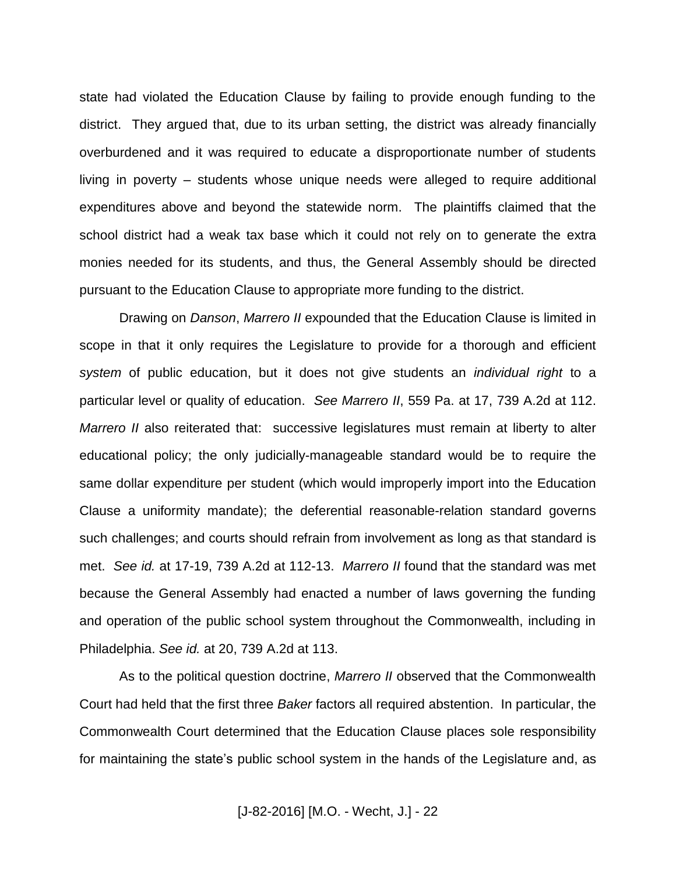state had violated the Education Clause by failing to provide enough funding to the district. They argued that, due to its urban setting, the district was already financially overburdened and it was required to educate a disproportionate number of students living in poverty – students whose unique needs were alleged to require additional expenditures above and beyond the statewide norm. The plaintiffs claimed that the school district had a weak tax base which it could not rely on to generate the extra monies needed for its students, and thus, the General Assembly should be directed pursuant to the Education Clause to appropriate more funding to the district.

Drawing on *Danson*, *Marrero II* expounded that the Education Clause is limited in scope in that it only requires the Legislature to provide for a thorough and efficient *system* of public education, but it does not give students an *individual right* to a particular level or quality of education. *See Marrero II*, 559 Pa. at 17, 739 A.2d at 112. *Marrero II* also reiterated that: successive legislatures must remain at liberty to alter educational policy; the only judicially-manageable standard would be to require the same dollar expenditure per student (which would improperly import into the Education Clause a uniformity mandate); the deferential reasonable-relation standard governs such challenges; and courts should refrain from involvement as long as that standard is met. *See id.* at 17-19, 739 A.2d at 112-13. *Marrero II* found that the standard was met because the General Assembly had enacted a number of laws governing the funding and operation of the public school system throughout the Commonwealth, including in Philadelphia. *See id.* at 20, 739 A.2d at 113.

As to the political question doctrine, *Marrero II* observed that the Commonwealth Court had held that the first three *Baker* factors all required abstention. In particular, the Commonwealth Court determined that the Education Clause places sole responsibility for maintaining the state's public school system in the hands of the Legislature and, as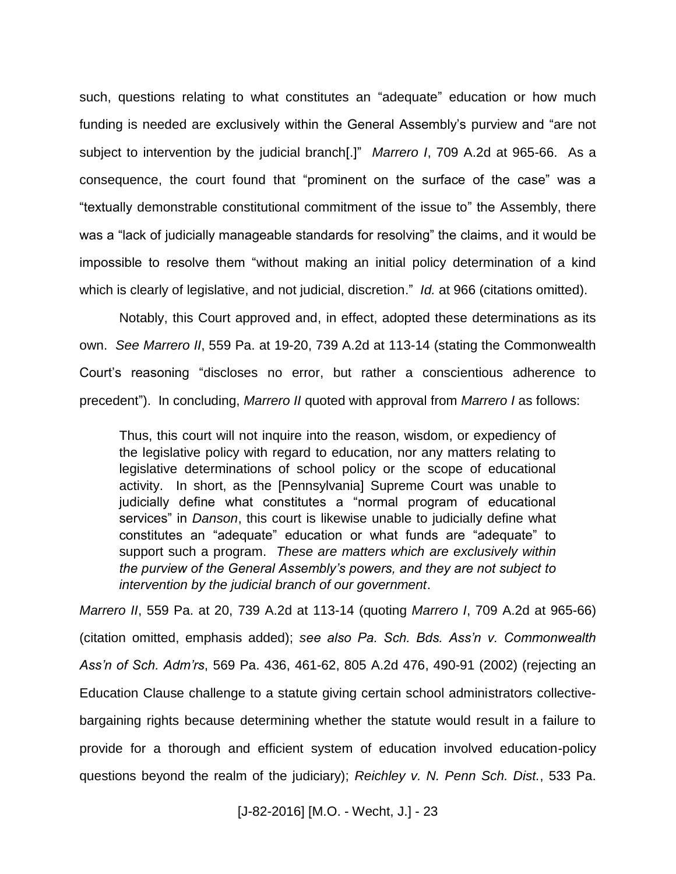such, questions relating to what constitutes an "adequate" education or how much funding is needed are exclusively within the General Assembly's purview and "are not subject to intervention by the judicial branch[.]" *Marrero I*, 709 A.2d at 965-66. As a consequence, the court found that "prominent on the surface of the case" was a "textually demonstrable constitutional commitment of the issue to" the Assembly, there was a "lack of judicially manageable standards for resolving" the claims, and it would be impossible to resolve them "without making an initial policy determination of a kind which is clearly of legislative, and not judicial, discretion." *Id.* at 966 (citations omitted).

Notably, this Court approved and, in effect, adopted these determinations as its own. *See Marrero II*, 559 Pa. at 19-20, 739 A.2d at 113-14 (stating the Commonwealth Court's reasoning "discloses no error, but rather a conscientious adherence to precedent"). In concluding, *Marrero II* quoted with approval from *Marrero I* as follows:

Thus, this court will not inquire into the reason, wisdom, or expediency of the legislative policy with regard to education, nor any matters relating to legislative determinations of school policy or the scope of educational activity. In short, as the [Pennsylvania] Supreme Court was unable to judicially define what constitutes a "normal program of educational services" in *Danson*, this court is likewise unable to judicially define what constitutes an "adequate" education or what funds are "adequate" to support such a program. *These are matters which are exclusively within the purview of the General Assembly's powers, and they are not subject to intervention by the judicial branch of our government*.

*Marrero II*, 559 Pa. at 20, 739 A.2d at 113-14 (quoting *Marrero I*, 709 A.2d at 965-66) (citation omitted, emphasis added); *see also Pa. Sch. Bds. Ass'n v. Commonwealth Ass'n of Sch. Adm'rs*, 569 Pa. 436, 461-62, 805 A.2d 476, 490-91 (2002) (rejecting an Education Clause challenge to a statute giving certain school administrators collectivebargaining rights because determining whether the statute would result in a failure to provide for a thorough and efficient system of education involved education-policy questions beyond the realm of the judiciary); *Reichley v. N. Penn Sch. Dist.*, 533 Pa.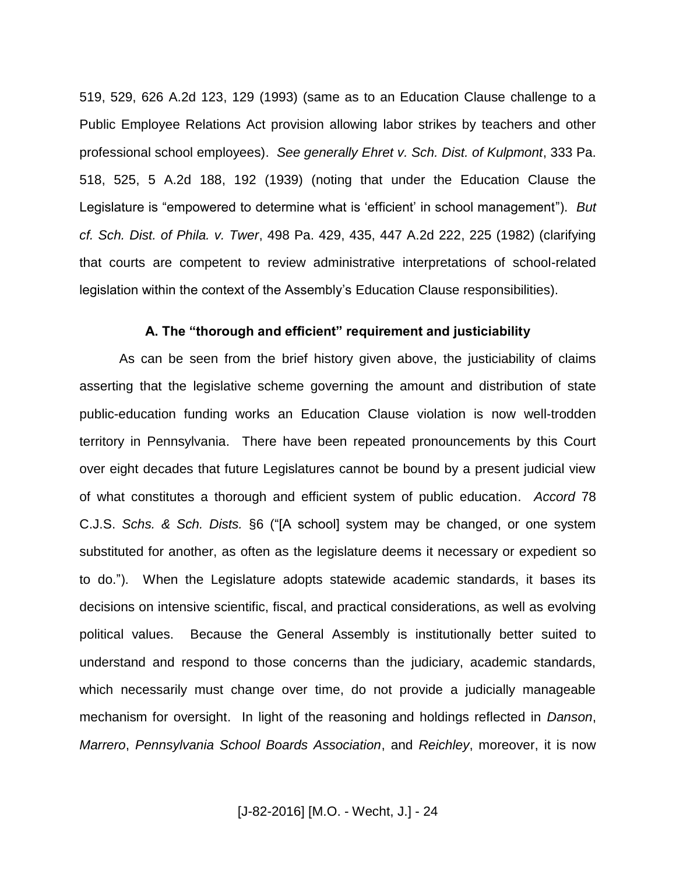519, 529, 626 A.2d 123, 129 (1993) (same as to an Education Clause challenge to a Public Employee Relations Act provision allowing labor strikes by teachers and other professional school employees). *See generally Ehret v. Sch. Dist. of Kulpmont*, 333 Pa. 518, 525, 5 A.2d 188, 192 (1939) (noting that under the Education Clause the Legislature is "empowered to determine what is 'efficient' in school management"). *But cf. Sch. Dist. of Phila. v. Twer*, 498 Pa. 429, 435, 447 A.2d 222, 225 (1982) (clarifying that courts are competent to review administrative interpretations of school-related legislation within the context of the Assembly's Education Clause responsibilities).

#### **A. The "thorough and efficient" requirement and justiciability**

As can be seen from the brief history given above, the justiciability of claims asserting that the legislative scheme governing the amount and distribution of state public-education funding works an Education Clause violation is now well-trodden territory in Pennsylvania. There have been repeated pronouncements by this Court over eight decades that future Legislatures cannot be bound by a present judicial view of what constitutes a thorough and efficient system of public education. *Accord* 78 C.J.S. *Schs. & Sch. Dists.* §6 ("[A school] system may be changed, or one system substituted for another, as often as the legislature deems it necessary or expedient so to do."). When the Legislature adopts statewide academic standards, it bases its decisions on intensive scientific, fiscal, and practical considerations, as well as evolving political values. Because the General Assembly is institutionally better suited to understand and respond to those concerns than the judiciary, academic standards, which necessarily must change over time, do not provide a judicially manageable mechanism for oversight. In light of the reasoning and holdings reflected in *Danson*, *Marrero*, *Pennsylvania School Boards Association*, and *Reichley*, moreover, it is now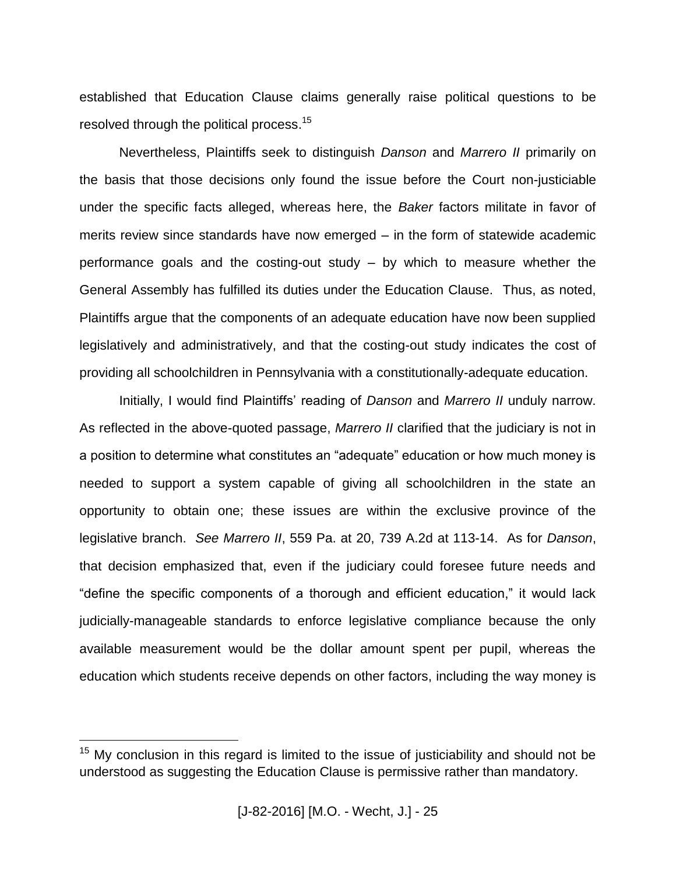established that Education Clause claims generally raise political questions to be resolved through the political process.<sup>15</sup>

Nevertheless, Plaintiffs seek to distinguish *Danson* and *Marrero II* primarily on the basis that those decisions only found the issue before the Court non-justiciable under the specific facts alleged, whereas here, the *Baker* factors militate in favor of merits review since standards have now emerged – in the form of statewide academic performance goals and the costing-out study – by which to measure whether the General Assembly has fulfilled its duties under the Education Clause. Thus, as noted, Plaintiffs argue that the components of an adequate education have now been supplied legislatively and administratively, and that the costing-out study indicates the cost of providing all schoolchildren in Pennsylvania with a constitutionally-adequate education.

Initially, I would find Plaintiffs' reading of *Danson* and *Marrero II* unduly narrow. As reflected in the above-quoted passage, *Marrero II* clarified that the judiciary is not in a position to determine what constitutes an "adequate" education or how much money is needed to support a system capable of giving all schoolchildren in the state an opportunity to obtain one; these issues are within the exclusive province of the legislative branch. *See Marrero II*, 559 Pa. at 20, 739 A.2d at 113-14. As for *Danson*, that decision emphasized that, even if the judiciary could foresee future needs and "define the specific components of a thorough and efficient education," it would lack judicially-manageable standards to enforce legislative compliance because the only available measurement would be the dollar amount spent per pupil, whereas the education which students receive depends on other factors, including the way money is

 $15$  My conclusion in this regard is limited to the issue of justiciability and should not be understood as suggesting the Education Clause is permissive rather than mandatory.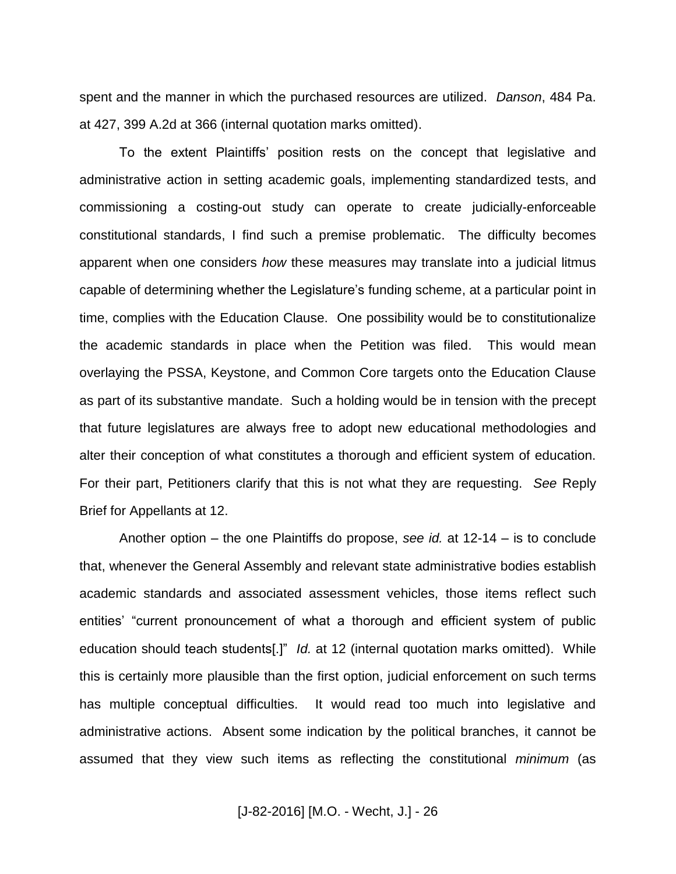spent and the manner in which the purchased resources are utilized. *Danson*, 484 Pa. at 427, 399 A.2d at 366 (internal quotation marks omitted).

To the extent Plaintiffs' position rests on the concept that legislative and administrative action in setting academic goals, implementing standardized tests, and commissioning a costing-out study can operate to create judicially-enforceable constitutional standards, I find such a premise problematic. The difficulty becomes apparent when one considers *how* these measures may translate into a judicial litmus capable of determining whether the Legislature's funding scheme, at a particular point in time, complies with the Education Clause. One possibility would be to constitutionalize the academic standards in place when the Petition was filed. This would mean overlaying the PSSA, Keystone, and Common Core targets onto the Education Clause as part of its substantive mandate. Such a holding would be in tension with the precept that future legislatures are always free to adopt new educational methodologies and alter their conception of what constitutes a thorough and efficient system of education. For their part, Petitioners clarify that this is not what they are requesting. *See* Reply Brief for Appellants at 12.

Another option – the one Plaintiffs do propose, *see id.* at 12-14 – is to conclude that, whenever the General Assembly and relevant state administrative bodies establish academic standards and associated assessment vehicles, those items reflect such entities' "current pronouncement of what a thorough and efficient system of public education should teach students[.]" *Id.* at 12 (internal quotation marks omitted). While this is certainly more plausible than the first option, judicial enforcement on such terms has multiple conceptual difficulties. It would read too much into legislative and administrative actions. Absent some indication by the political branches, it cannot be assumed that they view such items as reflecting the constitutional *minimum* (as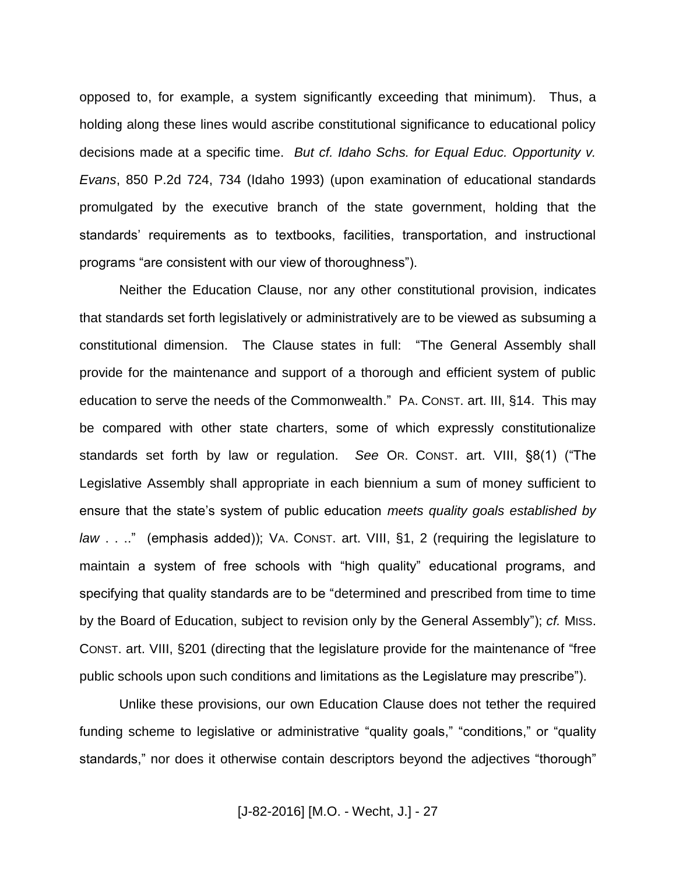opposed to, for example, a system significantly exceeding that minimum). Thus, a holding along these lines would ascribe constitutional significance to educational policy decisions made at a specific time. *But cf. Idaho Schs. for Equal Educ. Opportunity v. Evans*, 850 P.2d 724, 734 (Idaho 1993) (upon examination of educational standards promulgated by the executive branch of the state government, holding that the standards' requirements as to textbooks, facilities, transportation, and instructional programs "are consistent with our view of thoroughness").

Neither the Education Clause, nor any other constitutional provision, indicates that standards set forth legislatively or administratively are to be viewed as subsuming a constitutional dimension. The Clause states in full: "The General Assembly shall provide for the maintenance and support of a thorough and efficient system of public education to serve the needs of the Commonwealth." PA. CONST. art. III, §14. This may be compared with other state charters, some of which expressly constitutionalize standards set forth by law or regulation. *See* OR. CONST. art. VIII, §8(1) ("The Legislative Assembly shall appropriate in each biennium a sum of money sufficient to ensure that the state's system of public education *meets quality goals established by law* . . .." (emphasis added)); VA. CONST. art. VIII, §1, 2 (requiring the legislature to maintain a system of free schools with "high quality" educational programs, and specifying that quality standards are to be "determined and prescribed from time to time by the Board of Education, subject to revision only by the General Assembly"); *cf.* MISS. CONST. art. VIII, §201 (directing that the legislature provide for the maintenance of "free public schools upon such conditions and limitations as the Legislature may prescribe").

Unlike these provisions, our own Education Clause does not tether the required funding scheme to legislative or administrative "quality goals," "conditions," or "quality standards," nor does it otherwise contain descriptors beyond the adjectives "thorough"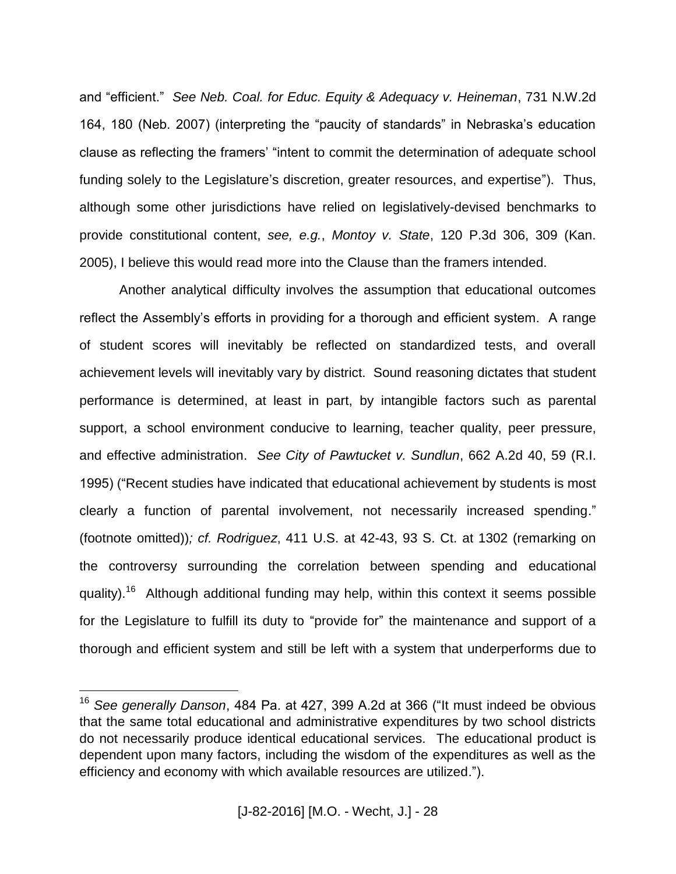and "efficient." *See Neb. Coal. for Educ. Equity & Adequacy v. Heineman*, 731 N.W.2d 164, 180 (Neb. 2007) (interpreting the "paucity of standards" in Nebraska's education clause as reflecting the framers' "intent to commit the determination of adequate school funding solely to the Legislature's discretion, greater resources, and expertise"). Thus, although some other jurisdictions have relied on legislatively-devised benchmarks to provide constitutional content, *see, e.g.*, *Montoy v. State*, 120 P.3d 306, 309 (Kan. 2005), I believe this would read more into the Clause than the framers intended.

Another analytical difficulty involves the assumption that educational outcomes reflect the Assembly's efforts in providing for a thorough and efficient system. A range of student scores will inevitably be reflected on standardized tests, and overall achievement levels will inevitably vary by district. Sound reasoning dictates that student performance is determined, at least in part, by intangible factors such as parental support, a school environment conducive to learning, teacher quality, peer pressure, and effective administration. *See City of Pawtucket v. Sundlun*, 662 A.2d 40, 59 (R.I. 1995) ("Recent studies have indicated that educational achievement by students is most clearly a function of parental involvement, not necessarily increased spending." (footnote omitted))*; cf. Rodriguez*, 411 U.S. at 42-43, 93 S. Ct. at 1302 (remarking on the controversy surrounding the correlation between spending and educational quality).<sup>16</sup> Although additional funding may help, within this context it seems possible for the Legislature to fulfill its duty to "provide for" the maintenance and support of a thorough and efficient system and still be left with a system that underperforms due to

<sup>16</sup> *See generally Danson*, 484 Pa. at 427, 399 A.2d at 366 ("It must indeed be obvious that the same total educational and administrative expenditures by two school districts do not necessarily produce identical educational services. The educational product is dependent upon many factors, including the wisdom of the expenditures as well as the efficiency and economy with which available resources are utilized.").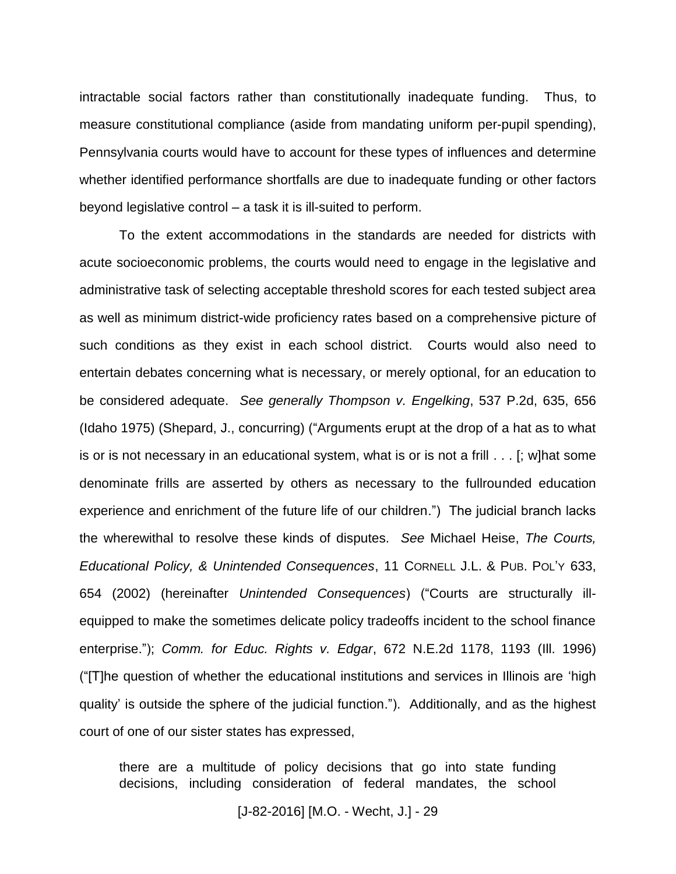intractable social factors rather than constitutionally inadequate funding. Thus, to measure constitutional compliance (aside from mandating uniform per-pupil spending), Pennsylvania courts would have to account for these types of influences and determine whether identified performance shortfalls are due to inadequate funding or other factors beyond legislative control – a task it is ill-suited to perform.

To the extent accommodations in the standards are needed for districts with acute socioeconomic problems, the courts would need to engage in the legislative and administrative task of selecting acceptable threshold scores for each tested subject area as well as minimum district-wide proficiency rates based on a comprehensive picture of such conditions as they exist in each school district. Courts would also need to entertain debates concerning what is necessary, or merely optional, for an education to be considered adequate. *See generally Thompson v. Engelking*, 537 P.2d, 635, 656 (Idaho 1975) (Shepard, J., concurring) ("Arguments erupt at the drop of a hat as to what is or is not necessary in an educational system, what is or is not a frill . . . [; w]hat some denominate frills are asserted by others as necessary to the fullrounded education experience and enrichment of the future life of our children.") The judicial branch lacks the wherewithal to resolve these kinds of disputes. *See* Michael Heise, *The Courts, Educational Policy, & Unintended Consequences*, 11 CORNELL J.L. & PUB. POL'Y 633, 654 (2002) (hereinafter *Unintended Consequences*) ("Courts are structurally illequipped to make the sometimes delicate policy tradeoffs incident to the school finance enterprise."); *Comm. for Educ. Rights v. Edgar*, 672 N.E.2d 1178, 1193 (Ill. 1996) ("[T]he question of whether the educational institutions and services in Illinois are 'high quality' is outside the sphere of the judicial function."). Additionally, and as the highest court of one of our sister states has expressed,

there are a multitude of policy decisions that go into state funding decisions, including consideration of federal mandates, the school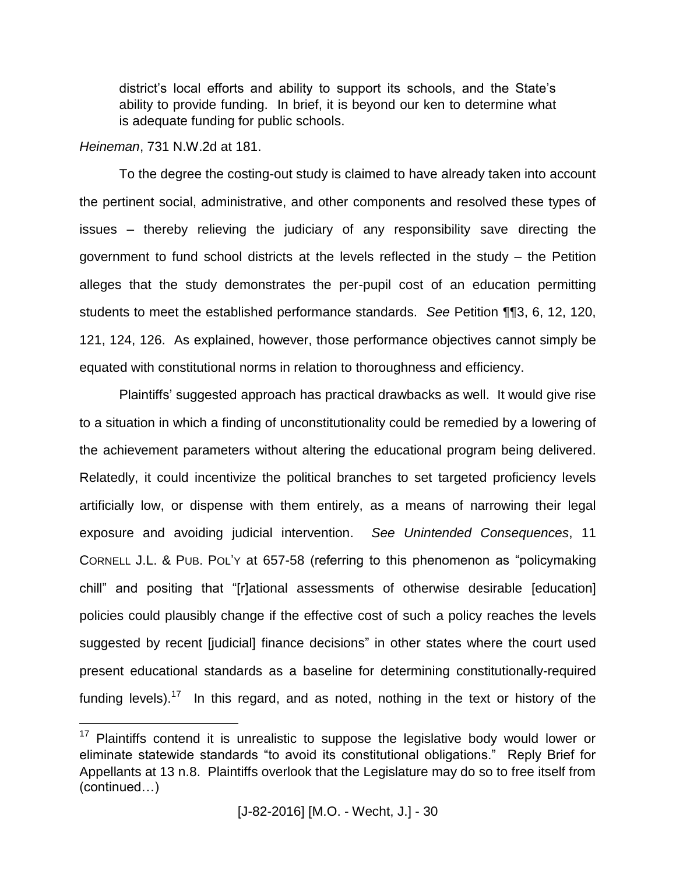district's local efforts and ability to support its schools, and the State's ability to provide funding. In brief, it is beyond our ken to determine what is adequate funding for public schools.

## *Heineman*, 731 N.W.2d at 181.

 $\overline{a}$ 

To the degree the costing-out study is claimed to have already taken into account the pertinent social, administrative, and other components and resolved these types of issues – thereby relieving the judiciary of any responsibility save directing the government to fund school districts at the levels reflected in the study – the Petition alleges that the study demonstrates the per-pupil cost of an education permitting students to meet the established performance standards. *See* Petition ¶¶3, 6, 12, 120, 121, 124, 126. As explained, however, those performance objectives cannot simply be equated with constitutional norms in relation to thoroughness and efficiency.

Plaintiffs' suggested approach has practical drawbacks as well. It would give rise to a situation in which a finding of unconstitutionality could be remedied by a lowering of the achievement parameters without altering the educational program being delivered. Relatedly, it could incentivize the political branches to set targeted proficiency levels artificially low, or dispense with them entirely, as a means of narrowing their legal exposure and avoiding judicial intervention. *See Unintended Consequences*, 11 CORNELL J.L. & PUB. POL'Y at 657-58 (referring to this phenomenon as "policymaking chill" and positing that "[r]ational assessments of otherwise desirable [education] policies could plausibly change if the effective cost of such a policy reaches the levels suggested by recent [judicial] finance decisions" in other states where the court used present educational standards as a baseline for determining constitutionally-required funding levels).<sup>17</sup> In this regard, and as noted, nothing in the text or history of the

 $17$  Plaintiffs contend it is unrealistic to suppose the legislative body would lower or eliminate statewide standards "to avoid its constitutional obligations." Reply Brief for Appellants at 13 n.8. Plaintiffs overlook that the Legislature may do so to free itself from (continued…)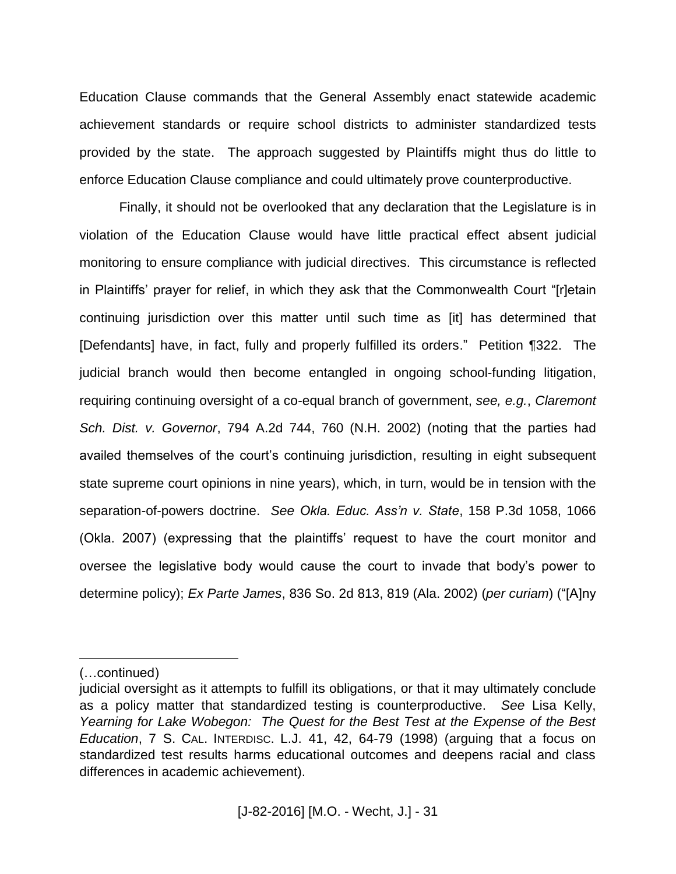Education Clause commands that the General Assembly enact statewide academic achievement standards or require school districts to administer standardized tests provided by the state. The approach suggested by Plaintiffs might thus do little to enforce Education Clause compliance and could ultimately prove counterproductive.

Finally, it should not be overlooked that any declaration that the Legislature is in violation of the Education Clause would have little practical effect absent judicial monitoring to ensure compliance with judicial directives. This circumstance is reflected in Plaintiffs' prayer for relief, in which they ask that the Commonwealth Court "[r]etain continuing jurisdiction over this matter until such time as [it] has determined that [Defendants] have, in fact, fully and properly fulfilled its orders." Petition ¶322. The judicial branch would then become entangled in ongoing school-funding litigation, requiring continuing oversight of a co-equal branch of government, *see, e.g.*, *Claremont Sch. Dist. v. Governor*, 794 A.2d 744, 760 (N.H. 2002) (noting that the parties had availed themselves of the court's continuing jurisdiction, resulting in eight subsequent state supreme court opinions in nine years), which, in turn, would be in tension with the separation-of-powers doctrine. *See Okla. Educ. Ass'n v. State*, 158 P.3d 1058, 1066 (Okla. 2007) (expressing that the plaintiffs' request to have the court monitor and oversee the legislative body would cause the court to invade that body's power to determine policy); *Ex Parte James*, 836 So. 2d 813, 819 (Ala. 2002) (*per curiam*) ("[A]ny

<sup>(…</sup>continued)

judicial oversight as it attempts to fulfill its obligations, or that it may ultimately conclude as a policy matter that standardized testing is counterproductive. *See* Lisa Kelly, *Yearning for Lake Wobegon: The Quest for the Best Test at the Expense of the Best Education*, 7 S. CAL. INTERDISC. L.J. 41, 42, 64-79 (1998) (arguing that a focus on standardized test results harms educational outcomes and deepens racial and class differences in academic achievement).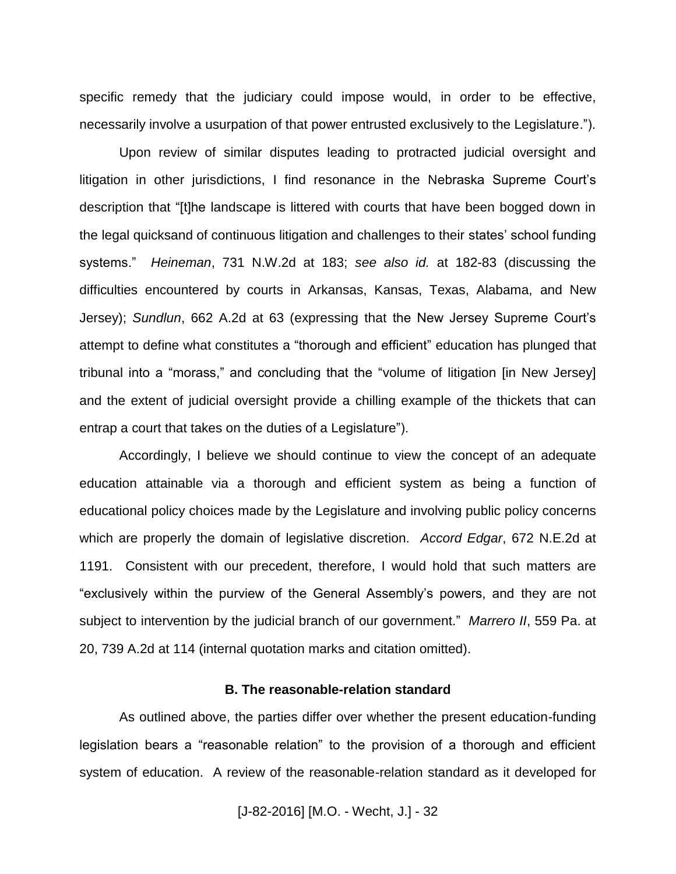specific remedy that the judiciary could impose would, in order to be effective, necessarily involve a usurpation of that power entrusted exclusively to the Legislature.").

Upon review of similar disputes leading to protracted judicial oversight and litigation in other jurisdictions, I find resonance in the Nebraska Supreme Court's description that "[t]he landscape is littered with courts that have been bogged down in the legal quicksand of continuous litigation and challenges to their states' school funding systems." *Heineman*, 731 N.W.2d at 183; *see also id.* at 182-83 (discussing the difficulties encountered by courts in Arkansas, Kansas, Texas, Alabama, and New Jersey); *Sundlun*, 662 A.2d at 63 (expressing that the New Jersey Supreme Court's attempt to define what constitutes a "thorough and efficient" education has plunged that tribunal into a "morass," and concluding that the "volume of litigation [in New Jersey] and the extent of judicial oversight provide a chilling example of the thickets that can entrap a court that takes on the duties of a Legislature").

Accordingly, I believe we should continue to view the concept of an adequate education attainable via a thorough and efficient system as being a function of educational policy choices made by the Legislature and involving public policy concerns which are properly the domain of legislative discretion. *Accord Edgar*, 672 N.E.2d at 1191. Consistent with our precedent, therefore, I would hold that such matters are "exclusively within the purview of the General Assembly's powers, and they are not subject to intervention by the judicial branch of our government." *Marrero II*, 559 Pa. at 20, 739 A.2d at 114 (internal quotation marks and citation omitted).

#### **B. The reasonable-relation standard**

As outlined above, the parties differ over whether the present education-funding legislation bears a "reasonable relation" to the provision of a thorough and efficient system of education. A review of the reasonable-relation standard as it developed for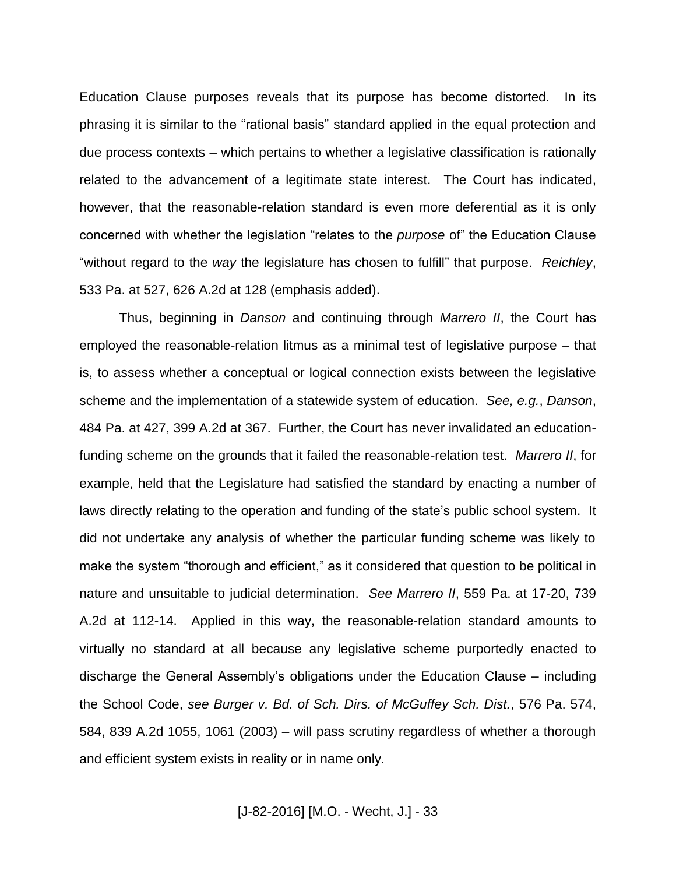Education Clause purposes reveals that its purpose has become distorted. In its phrasing it is similar to the "rational basis" standard applied in the equal protection and due process contexts – which pertains to whether a legislative classification is rationally related to the advancement of a legitimate state interest. The Court has indicated, however, that the reasonable-relation standard is even more deferential as it is only concerned with whether the legislation "relates to the *purpose* of" the Education Clause "without regard to the *way* the legislature has chosen to fulfill" that purpose. *Reichley*, 533 Pa. at 527, 626 A.2d at 128 (emphasis added).

Thus, beginning in *Danson* and continuing through *Marrero II*, the Court has employed the reasonable-relation litmus as a minimal test of legislative purpose – that is, to assess whether a conceptual or logical connection exists between the legislative scheme and the implementation of a statewide system of education. *See, e.g.*, *Danson*, 484 Pa. at 427, 399 A.2d at 367. Further, the Court has never invalidated an educationfunding scheme on the grounds that it failed the reasonable-relation test. *Marrero II*, for example, held that the Legislature had satisfied the standard by enacting a number of laws directly relating to the operation and funding of the state's public school system. It did not undertake any analysis of whether the particular funding scheme was likely to make the system "thorough and efficient," as it considered that question to be political in nature and unsuitable to judicial determination. *See Marrero II*, 559 Pa. at 17-20, 739 A.2d at 112-14. Applied in this way, the reasonable-relation standard amounts to virtually no standard at all because any legislative scheme purportedly enacted to discharge the General Assembly's obligations under the Education Clause – including the School Code, *see Burger v. Bd. of Sch. Dirs. of McGuffey Sch. Dist.*, 576 Pa. 574, 584, 839 A.2d 1055, 1061 (2003) – will pass scrutiny regardless of whether a thorough and efficient system exists in reality or in name only.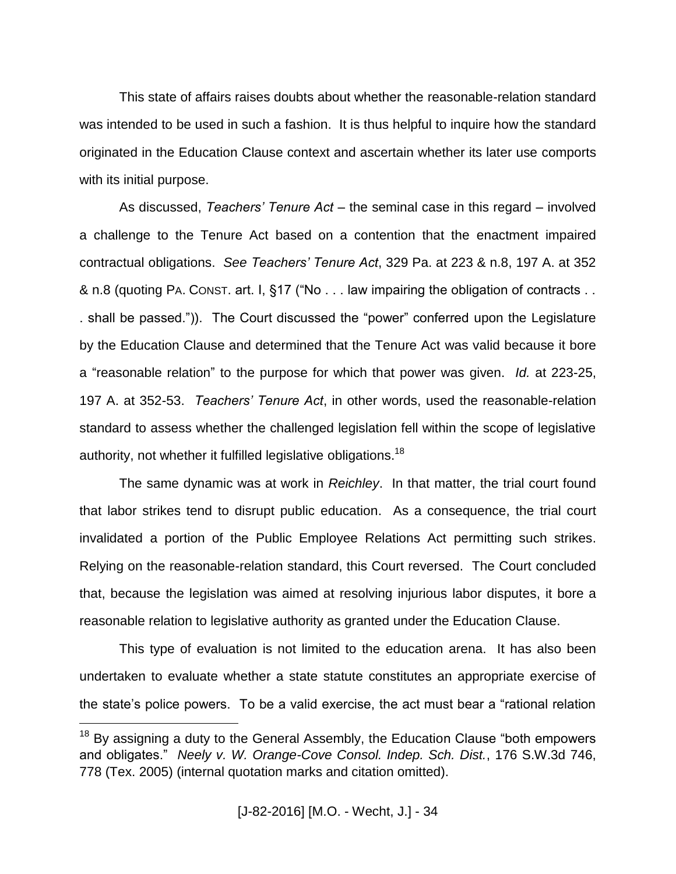This state of affairs raises doubts about whether the reasonable-relation standard was intended to be used in such a fashion. It is thus helpful to inquire how the standard originated in the Education Clause context and ascertain whether its later use comports with its initial purpose.

As discussed, *Teachers' Tenure Act* – the seminal case in this regard – involved a challenge to the Tenure Act based on a contention that the enactment impaired contractual obligations. *See Teachers' Tenure Act*, 329 Pa. at 223 & n.8, 197 A. at 352 & n.8 (quoting PA. CONST. art. I, §17 ("No . . . law impairing the obligation of contracts . . . shall be passed.")). The Court discussed the "power" conferred upon the Legislature by the Education Clause and determined that the Tenure Act was valid because it bore a "reasonable relation" to the purpose for which that power was given. *Id.* at 223-25, 197 A. at 352-53. *Teachers' Tenure Act*, in other words, used the reasonable-relation standard to assess whether the challenged legislation fell within the scope of legislative authority, not whether it fulfilled legislative obligations.<sup>18</sup>

The same dynamic was at work in *Reichley*. In that matter, the trial court found that labor strikes tend to disrupt public education. As a consequence, the trial court invalidated a portion of the Public Employee Relations Act permitting such strikes. Relying on the reasonable-relation standard, this Court reversed. The Court concluded that, because the legislation was aimed at resolving injurious labor disputes, it bore a reasonable relation to legislative authority as granted under the Education Clause.

This type of evaluation is not limited to the education arena. It has also been undertaken to evaluate whether a state statute constitutes an appropriate exercise of the state's police powers. To be a valid exercise, the act must bear a "rational relation

 $18$  By assigning a duty to the General Assembly, the Education Clause "both empowers and obligates." *Neely v. W. Orange-Cove Consol. Indep. Sch. Dist.*, 176 S.W.3d 746, 778 (Tex. 2005) (internal quotation marks and citation omitted).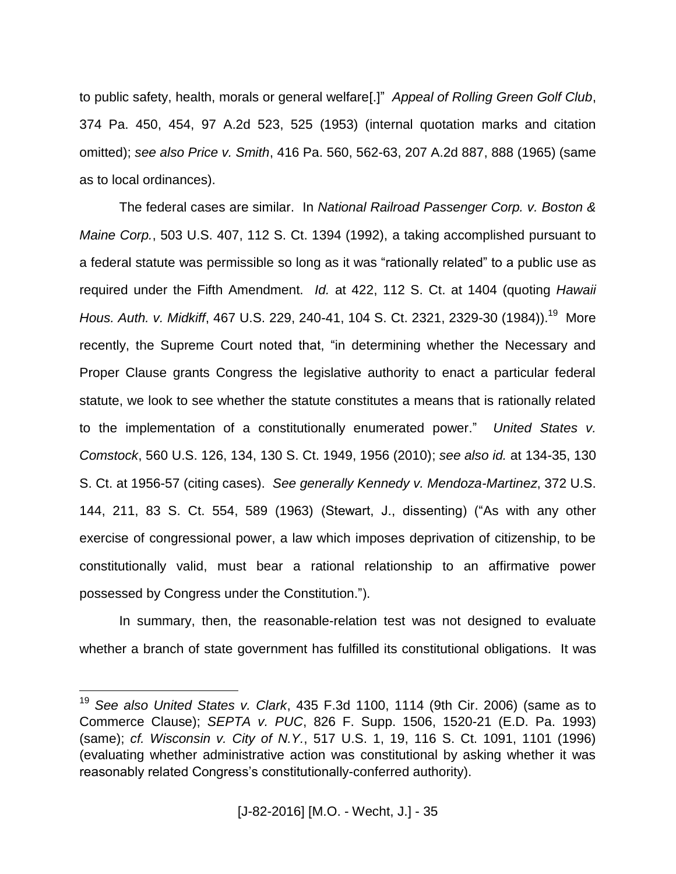to public safety, health, morals or general welfare[.]" *Appeal of Rolling Green Golf Club*, 374 Pa. 450, 454, 97 A.2d 523, 525 (1953) (internal quotation marks and citation omitted); *see also Price v. Smith*, 416 Pa. 560, 562-63, 207 A.2d 887, 888 (1965) (same as to local ordinances).

The federal cases are similar. In *National Railroad Passenger Corp. v. Boston & Maine Corp.*, 503 U.S. 407, 112 S. Ct. 1394 (1992), a taking accomplished pursuant to a federal statute was permissible so long as it was "rationally related" to a public use as required under the Fifth Amendment. *Id.* at 422, 112 S. Ct. at 1404 (quoting *Hawaii*  Hous. Auth. v. Midkiff, 467 U.S. 229, 240-41, 104 S. Ct. 2321, 2329-30 (1984)).<sup>19</sup> More recently, the Supreme Court noted that, "in determining whether the Necessary and Proper Clause grants Congress the legislative authority to enact a particular federal statute, we look to see whether the statute constitutes a means that is rationally related to the implementation of a constitutionally enumerated power." *United States v. Comstock*, 560 U.S. 126, 134, 130 S. Ct. 1949, 1956 (2010); *see also id.* at 134-35, 130 S. Ct. at 1956-57 (citing cases). *See generally Kennedy v. Mendoza-Martinez*, 372 U.S. 144, 211, 83 S. Ct. 554, 589 (1963) (Stewart, J., dissenting) ("As with any other exercise of congressional power, a law which imposes deprivation of citizenship, to be constitutionally valid, must bear a rational relationship to an affirmative power possessed by Congress under the Constitution.").

In summary, then, the reasonable-relation test was not designed to evaluate whether a branch of state government has fulfilled its constitutional obligations. It was

<sup>19</sup> *See also United States v. Clark*, 435 F.3d 1100, 1114 (9th Cir. 2006) (same as to Commerce Clause); *SEPTA v. PUC*, 826 F. Supp. 1506, 1520-21 (E.D. Pa. 1993) (same); *cf. Wisconsin v. City of N.Y.*, 517 U.S. 1, 19, 116 S. Ct. 1091, 1101 (1996) (evaluating whether administrative action was constitutional by asking whether it was reasonably related Congress's constitutionally-conferred authority).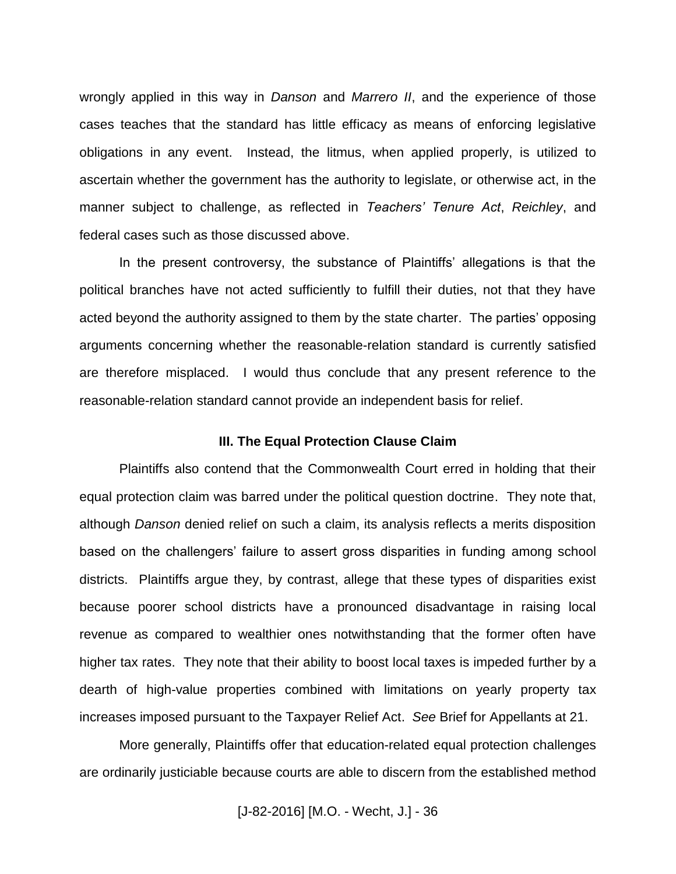wrongly applied in this way in *Danson* and *Marrero II*, and the experience of those cases teaches that the standard has little efficacy as means of enforcing legislative obligations in any event. Instead, the litmus, when applied properly, is utilized to ascertain whether the government has the authority to legislate, or otherwise act, in the manner subject to challenge, as reflected in *Teachers' Tenure Act*, *Reichley*, and federal cases such as those discussed above.

In the present controversy, the substance of Plaintiffs' allegations is that the political branches have not acted sufficiently to fulfill their duties, not that they have acted beyond the authority assigned to them by the state charter. The parties' opposing arguments concerning whether the reasonable-relation standard is currently satisfied are therefore misplaced. I would thus conclude that any present reference to the reasonable-relation standard cannot provide an independent basis for relief.

#### **III. The Equal Protection Clause Claim**

Plaintiffs also contend that the Commonwealth Court erred in holding that their equal protection claim was barred under the political question doctrine. They note that, although *Danson* denied relief on such a claim, its analysis reflects a merits disposition based on the challengers' failure to assert gross disparities in funding among school districts. Plaintiffs argue they, by contrast, allege that these types of disparities exist because poorer school districts have a pronounced disadvantage in raising local revenue as compared to wealthier ones notwithstanding that the former often have higher tax rates. They note that their ability to boost local taxes is impeded further by a dearth of high-value properties combined with limitations on yearly property tax increases imposed pursuant to the Taxpayer Relief Act. *See* Brief for Appellants at 21.

More generally, Plaintiffs offer that education-related equal protection challenges are ordinarily justiciable because courts are able to discern from the established method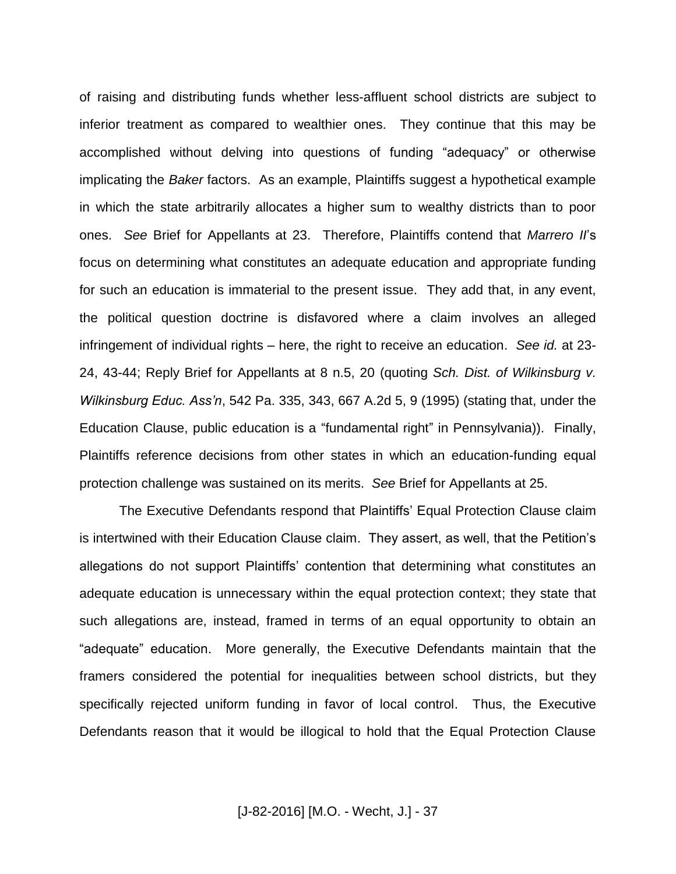of raising and distributing funds whether less-affluent school districts are subject to inferior treatment as compared to wealthier ones. They continue that this may be accomplished without delving into questions of funding "adequacy" or otherwise implicating the *Baker* factors. As an example, Plaintiffs suggest a hypothetical example in which the state arbitrarily allocates a higher sum to wealthy districts than to poor ones. *See* Brief for Appellants at 23. Therefore, Plaintiffs contend that *Marrero II*'s focus on determining what constitutes an adequate education and appropriate funding for such an education is immaterial to the present issue. They add that, in any event, the political question doctrine is disfavored where a claim involves an alleged infringement of individual rights – here, the right to receive an education. *See id.* at 23- 24, 43-44; Reply Brief for Appellants at 8 n.5, 20 (quoting *Sch. Dist. of Wilkinsburg v. Wilkinsburg Educ. Ass'n*, 542 Pa. 335, 343, 667 A.2d 5, 9 (1995) (stating that, under the Education Clause, public education is a "fundamental right" in Pennsylvania)). Finally, Plaintiffs reference decisions from other states in which an education-funding equal protection challenge was sustained on its merits. *See* Brief for Appellants at 25.

The Executive Defendants respond that Plaintiffs' Equal Protection Clause claim is intertwined with their Education Clause claim. They assert, as well, that the Petition's allegations do not support Plaintiffs' contention that determining what constitutes an adequate education is unnecessary within the equal protection context; they state that such allegations are, instead, framed in terms of an equal opportunity to obtain an "adequate" education. More generally, the Executive Defendants maintain that the framers considered the potential for inequalities between school districts, but they specifically rejected uniform funding in favor of local control. Thus, the Executive Defendants reason that it would be illogical to hold that the Equal Protection Clause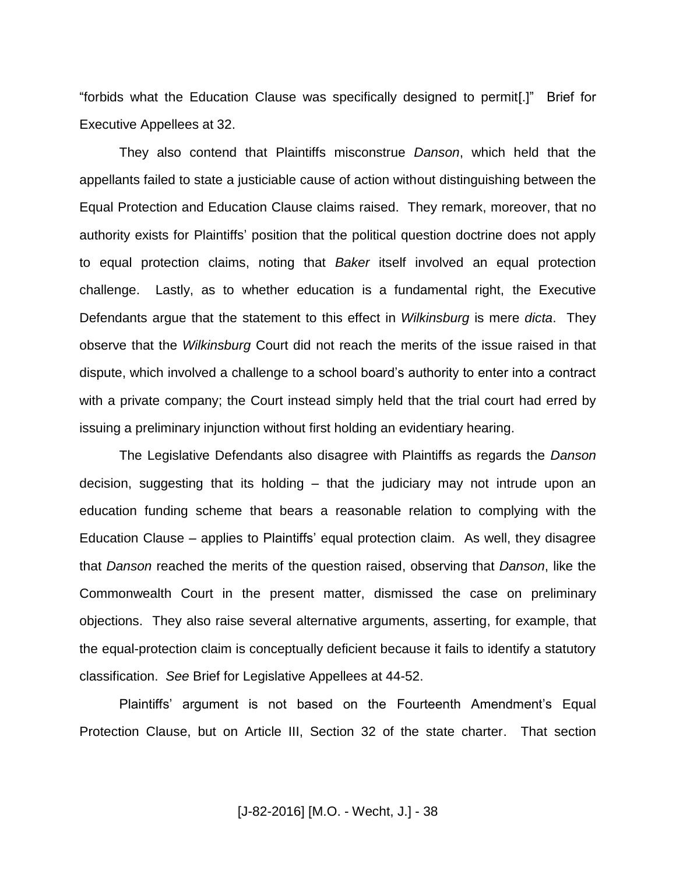"forbids what the Education Clause was specifically designed to permit[.]" Brief for Executive Appellees at 32.

They also contend that Plaintiffs misconstrue *Danson*, which held that the appellants failed to state a justiciable cause of action without distinguishing between the Equal Protection and Education Clause claims raised. They remark, moreover, that no authority exists for Plaintiffs' position that the political question doctrine does not apply to equal protection claims, noting that *Baker* itself involved an equal protection challenge. Lastly, as to whether education is a fundamental right, the Executive Defendants argue that the statement to this effect in *Wilkinsburg* is mere *dicta*. They observe that the *Wilkinsburg* Court did not reach the merits of the issue raised in that dispute, which involved a challenge to a school board's authority to enter into a contract with a private company; the Court instead simply held that the trial court had erred by issuing a preliminary injunction without first holding an evidentiary hearing.

The Legislative Defendants also disagree with Plaintiffs as regards the *Danson* decision, suggesting that its holding – that the judiciary may not intrude upon an education funding scheme that bears a reasonable relation to complying with the Education Clause – applies to Plaintiffs' equal protection claim. As well, they disagree that *Danson* reached the merits of the question raised, observing that *Danson*, like the Commonwealth Court in the present matter, dismissed the case on preliminary objections. They also raise several alternative arguments, asserting, for example, that the equal-protection claim is conceptually deficient because it fails to identify a statutory classification. *See* Brief for Legislative Appellees at 44-52.

Plaintiffs' argument is not based on the Fourteenth Amendment's Equal Protection Clause, but on Article III, Section 32 of the state charter. That section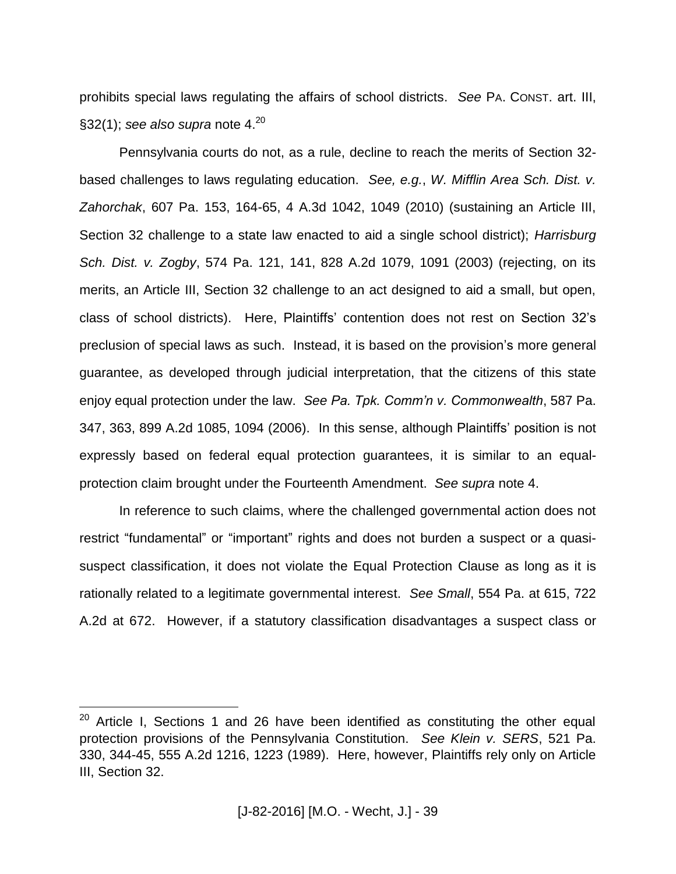prohibits special laws regulating the affairs of school districts. *See* PA. CONST. art. III, §32(1); *see also supra* note 4.<sup>20</sup>

Pennsylvania courts do not, as a rule, decline to reach the merits of Section 32 based challenges to laws regulating education. *See, e.g.*, *W. Mifflin Area Sch. Dist. v. Zahorchak*, 607 Pa. 153, 164-65, 4 A.3d 1042, 1049 (2010) (sustaining an Article III, Section 32 challenge to a state law enacted to aid a single school district); *Harrisburg Sch. Dist. v. Zogby*, 574 Pa. 121, 141, 828 A.2d 1079, 1091 (2003) (rejecting, on its merits, an Article III, Section 32 challenge to an act designed to aid a small, but open, class of school districts). Here, Plaintiffs' contention does not rest on Section 32's preclusion of special laws as such. Instead, it is based on the provision's more general guarantee, as developed through judicial interpretation, that the citizens of this state enjoy equal protection under the law. *See Pa. Tpk. Comm'n v. Commonwealth*, 587 Pa. 347, 363, 899 A.2d 1085, 1094 (2006). In this sense, although Plaintiffs' position is not expressly based on federal equal protection guarantees, it is similar to an equalprotection claim brought under the Fourteenth Amendment. *See supra* note 4.

In reference to such claims, where the challenged governmental action does not restrict "fundamental" or "important" rights and does not burden a suspect or a quasisuspect classification, it does not violate the Equal Protection Clause as long as it is rationally related to a legitimate governmental interest. *See Small*, 554 Pa. at 615, 722 A.2d at 672. However, if a statutory classification disadvantages a suspect class or

 $20$  Article I, Sections 1 and 26 have been identified as constituting the other equal protection provisions of the Pennsylvania Constitution. *See Klein v. SERS*, 521 Pa. 330, 344-45, 555 A.2d 1216, 1223 (1989). Here, however, Plaintiffs rely only on Article III, Section 32.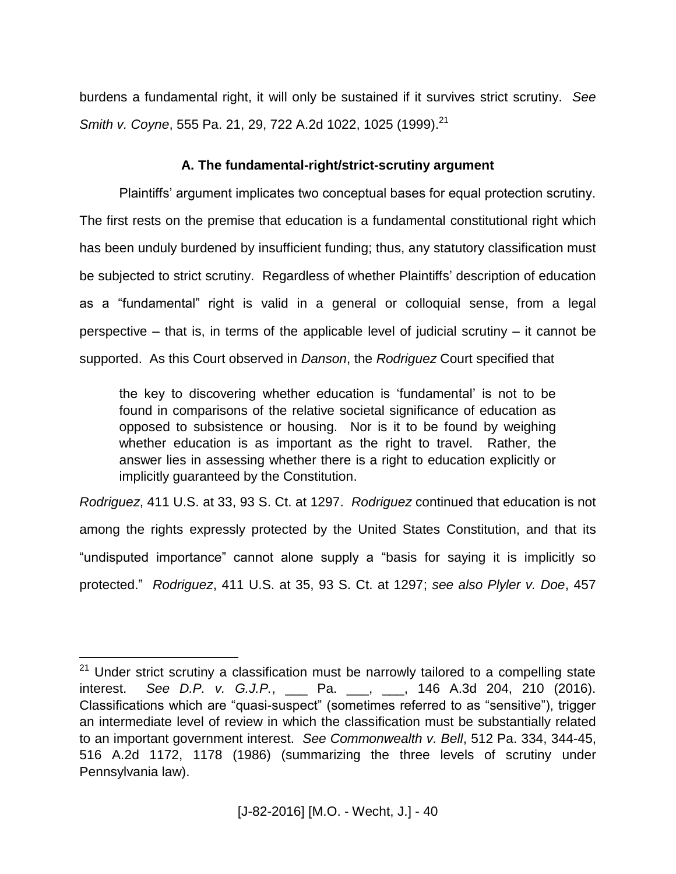burdens a fundamental right, it will only be sustained if it survives strict scrutiny. *See Smith v. Coyne*, 555 Pa. 21, 29, 722 A.2d 1022, 1025 (1999). 21

## **A. The fundamental-right/strict-scrutiny argument**

Plaintiffs' argument implicates two conceptual bases for equal protection scrutiny. The first rests on the premise that education is a fundamental constitutional right which has been unduly burdened by insufficient funding; thus, any statutory classification must be subjected to strict scrutiny. Regardless of whether Plaintiffs' description of education as a "fundamental" right is valid in a general or colloquial sense, from a legal perspective – that is, in terms of the applicable level of judicial scrutiny – it cannot be supported. As this Court observed in *Danson*, the *Rodriguez* Court specified that

the key to discovering whether education is 'fundamental' is not to be found in comparisons of the relative societal significance of education as opposed to subsistence or housing. Nor is it to be found by weighing whether education is as important as the right to travel. Rather, the answer lies in assessing whether there is a right to education explicitly or implicitly guaranteed by the Constitution.

*Rodriguez*, 411 U.S. at 33, 93 S. Ct. at 1297. *Rodriguez* continued that education is not among the rights expressly protected by the United States Constitution, and that its "undisputed importance" cannot alone supply a "basis for saying it is implicitly so protected." *Rodriguez*, 411 U.S. at 35, 93 S. Ct. at 1297; *see also Plyler v. Doe*, 457

<sup>&</sup>lt;sup>21</sup> Under strict scrutiny a classification must be narrowly tailored to a compelling state interest. *See D.P. v. G.J.P.*, \_\_\_ Pa. \_\_\_, \_\_\_, 146 A.3d 204, 210 (2016). Classifications which are "quasi-suspect" (sometimes referred to as "sensitive"), trigger an intermediate level of review in which the classification must be substantially related to an important government interest. *See Commonwealth v. Bell*, 512 Pa. 334, 344-45, 516 A.2d 1172, 1178 (1986) (summarizing the three levels of scrutiny under Pennsylvania law).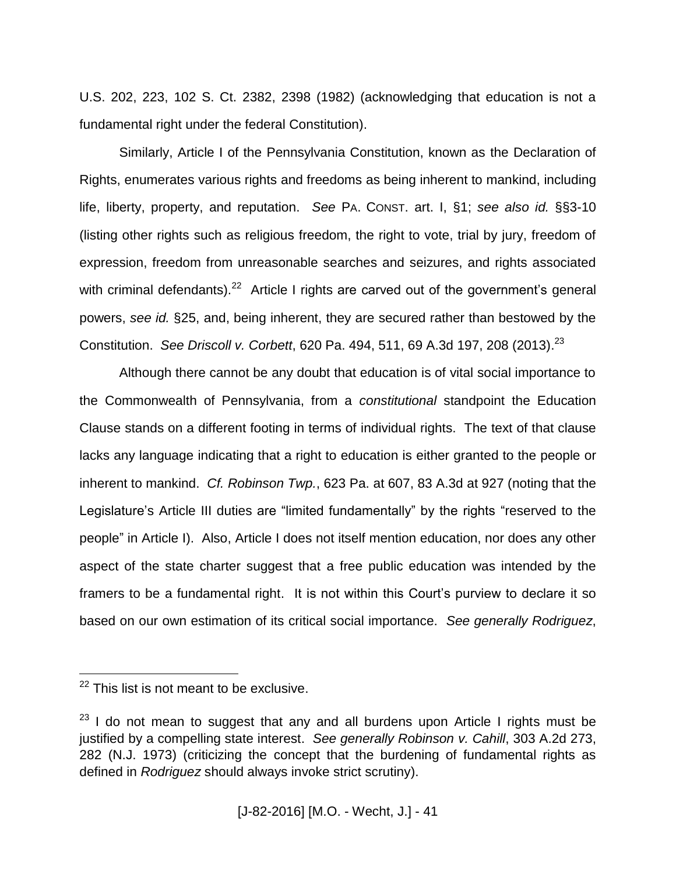U.S. 202, 223, 102 S. Ct. 2382, 2398 (1982) (acknowledging that education is not a fundamental right under the federal Constitution).

Similarly, Article I of the Pennsylvania Constitution, known as the Declaration of Rights, enumerates various rights and freedoms as being inherent to mankind, including life, liberty, property, and reputation. *See* PA. CONST. art. I, §1; *see also id.* §§3-10 (listing other rights such as religious freedom, the right to vote, trial by jury, freedom of expression, freedom from unreasonable searches and seizures, and rights associated with criminal defendants).<sup>22</sup> Article I rights are carved out of the government's general powers, *see id.* §25, and, being inherent, they are secured rather than bestowed by the Constitution. *See Driscoll v. Corbett*, 620 Pa. 494, 511, 69 A.3d 197, 208 (2013). 23

Although there cannot be any doubt that education is of vital social importance to the Commonwealth of Pennsylvania, from a *constitutional* standpoint the Education Clause stands on a different footing in terms of individual rights. The text of that clause lacks any language indicating that a right to education is either granted to the people or inherent to mankind. *Cf. Robinson Twp.*, 623 Pa. at 607, 83 A.3d at 927 (noting that the Legislature's Article III duties are "limited fundamentally" by the rights "reserved to the people" in Article I). Also, Article I does not itself mention education, nor does any other aspect of the state charter suggest that a free public education was intended by the framers to be a fundamental right. It is not within this Court's purview to declare it so based on our own estimation of its critical social importance. *See generally Rodriguez*,

 $22$  This list is not meant to be exclusive.

 $23$  I do not mean to suggest that any and all burdens upon Article I rights must be justified by a compelling state interest. *See generally Robinson v. Cahill*, 303 A.2d 273, 282 (N.J. 1973) (criticizing the concept that the burdening of fundamental rights as defined in *Rodriguez* should always invoke strict scrutiny).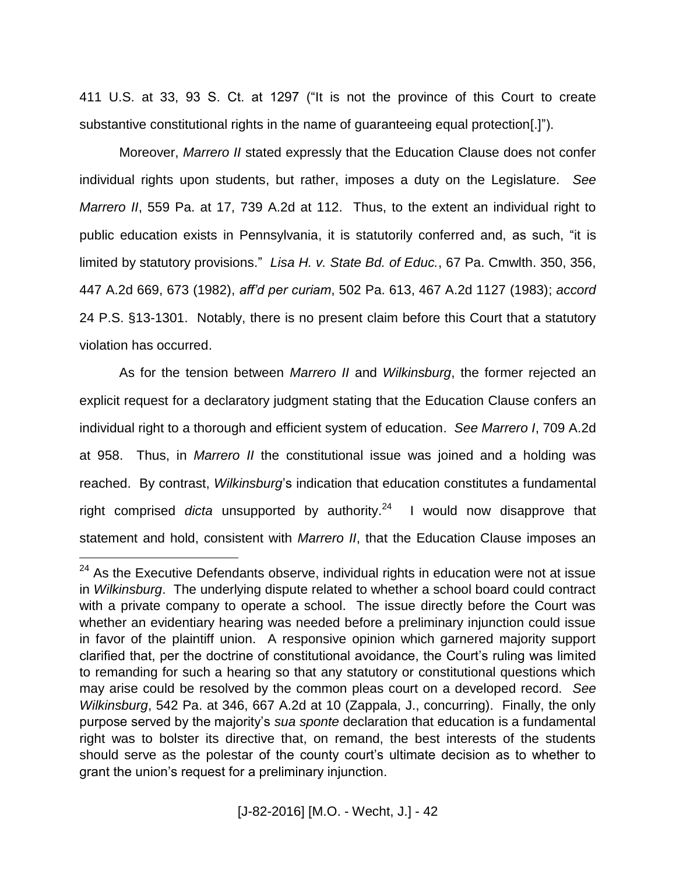411 U.S. at 33, 93 S. Ct. at 1297 ("It is not the province of this Court to create substantive constitutional rights in the name of guaranteeing equal protection[.]").

Moreover, *Marrero II* stated expressly that the Education Clause does not confer individual rights upon students, but rather, imposes a duty on the Legislature. *See Marrero II*, 559 Pa. at 17, 739 A.2d at 112. Thus, to the extent an individual right to public education exists in Pennsylvania, it is statutorily conferred and, as such, "it is limited by statutory provisions." *Lisa H. v. State Bd. of Educ.*, 67 Pa. Cmwlth. 350, 356, 447 A.2d 669, 673 (1982), *aff'd per curiam*, 502 Pa. 613, 467 A.2d 1127 (1983); *accord* 24 P.S. §13-1301. Notably, there is no present claim before this Court that a statutory violation has occurred.

As for the tension between *Marrero II* and *Wilkinsburg*, the former rejected an explicit request for a declaratory judgment stating that the Education Clause confers an individual right to a thorough and efficient system of education. *See Marrero I*, 709 A.2d at 958. Thus, in *Marrero II* the constitutional issue was joined and a holding was reached. By contrast, *Wilkinsburg*'s indication that education constitutes a fundamental right comprised *dicta* unsupported by authority. <sup>24</sup> I would now disapprove that statement and hold, consistent with *Marrero II*, that the Education Clause imposes an

 $24$  As the Executive Defendants observe, individual rights in education were not at issue in *Wilkinsburg*. The underlying dispute related to whether a school board could contract with a private company to operate a school. The issue directly before the Court was whether an evidentiary hearing was needed before a preliminary injunction could issue in favor of the plaintiff union. A responsive opinion which garnered majority support clarified that, per the doctrine of constitutional avoidance, the Court's ruling was limited to remanding for such a hearing so that any statutory or constitutional questions which may arise could be resolved by the common pleas court on a developed record. *See Wilkinsburg*, 542 Pa. at 346, 667 A.2d at 10 (Zappala, J., concurring). Finally, the only purpose served by the majority's *sua sponte* declaration that education is a fundamental right was to bolster its directive that, on remand, the best interests of the students should serve as the polestar of the county court's ultimate decision as to whether to grant the union's request for a preliminary injunction.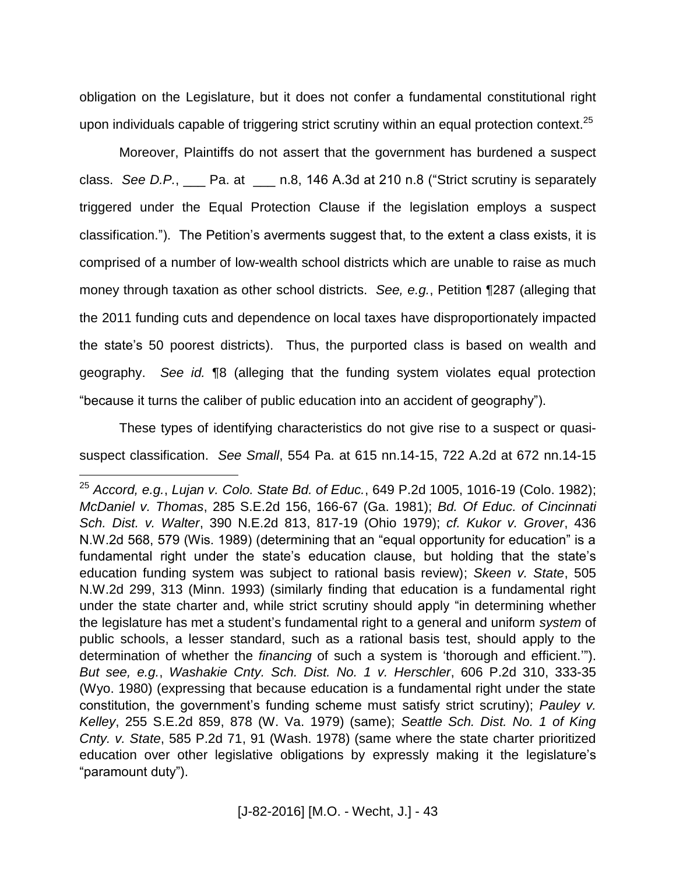obligation on the Legislature, but it does not confer a fundamental constitutional right upon individuals capable of triggering strict scrutiny within an equal protection context.<sup>25</sup>

Moreover, Plaintiffs do not assert that the government has burdened a suspect class. *See D.P.*, \_\_\_ Pa. at \_\_\_ n.8, 146 A.3d at 210 n.8 ("Strict scrutiny is separately triggered under the Equal Protection Clause if the legislation employs a suspect classification."). The Petition's averments suggest that, to the extent a class exists, it is comprised of a number of low-wealth school districts which are unable to raise as much money through taxation as other school districts. *See, e.g.*, Petition ¶287 (alleging that the 2011 funding cuts and dependence on local taxes have disproportionately impacted the state's 50 poorest districts). Thus, the purported class is based on wealth and geography. *See id.* ¶8 (alleging that the funding system violates equal protection "because it turns the caliber of public education into an accident of geography").

These types of identifying characteristics do not give rise to a suspect or quasisuspect classification. *See Small*, 554 Pa. at 615 nn.14-15, 722 A.2d at 672 nn.14-15

<sup>25</sup> *Accord, e.g.*, *Lujan v. Colo. State Bd. of Educ.*, 649 P.2d 1005, 1016-19 (Colo. 1982); *McDaniel v. Thomas*, 285 S.E.2d 156, 166-67 (Ga. 1981); *Bd. Of Educ. of Cincinnati Sch. Dist. v. Walter*, 390 N.E.2d 813, 817-19 (Ohio 1979); *cf. Kukor v. Grover*, 436 N.W.2d 568, 579 (Wis. 1989) (determining that an "equal opportunity for education" is a fundamental right under the state's education clause, but holding that the state's education funding system was subject to rational basis review); *Skeen v. State*, 505 N.W.2d 299, 313 (Minn. 1993) (similarly finding that education is a fundamental right under the state charter and, while strict scrutiny should apply "in determining whether the legislature has met a student's fundamental right to a general and uniform *system* of public schools, a lesser standard, such as a rational basis test, should apply to the determination of whether the *financing* of such a system is 'thorough and efficient.'"). *But see, e.g.*, *Washakie Cnty. Sch. Dist. No. 1 v. Herschler*, 606 P.2d 310, 333-35 (Wyo. 1980) (expressing that because education is a fundamental right under the state constitution, the government's funding scheme must satisfy strict scrutiny); *Pauley v. Kelley*, 255 S.E.2d 859, 878 (W. Va. 1979) (same); *Seattle Sch. Dist. No. 1 of King Cnty. v. State*, 585 P.2d 71, 91 (Wash. 1978) (same where the state charter prioritized education over other legislative obligations by expressly making it the legislature's "paramount duty").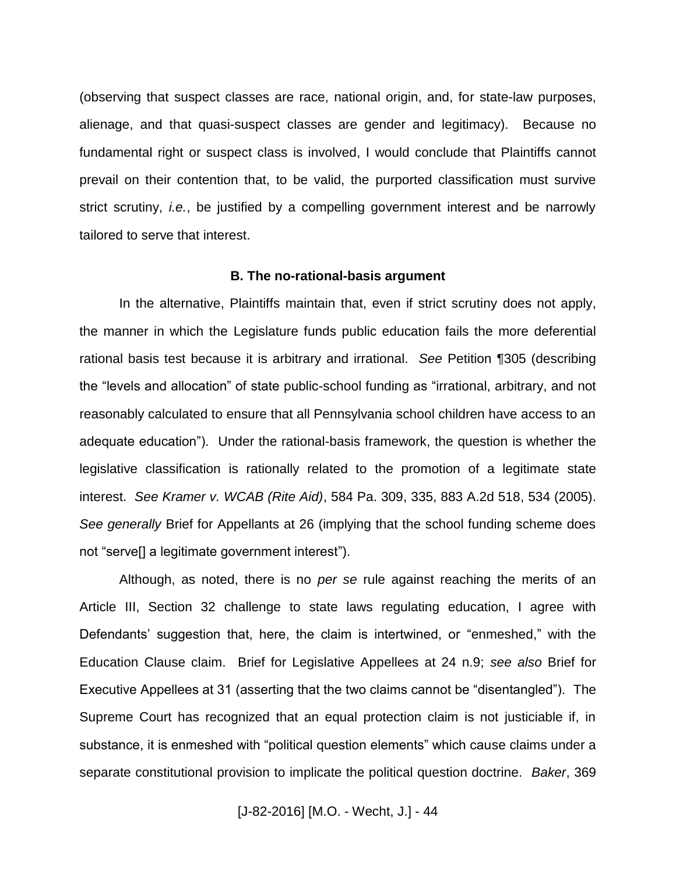(observing that suspect classes are race, national origin, and, for state-law purposes, alienage, and that quasi-suspect classes are gender and legitimacy). Because no fundamental right or suspect class is involved, I would conclude that Plaintiffs cannot prevail on their contention that, to be valid, the purported classification must survive strict scrutiny, *i.e.*, be justified by a compelling government interest and be narrowly tailored to serve that interest.

#### **B. The no-rational-basis argument**

In the alternative, Plaintiffs maintain that, even if strict scrutiny does not apply, the manner in which the Legislature funds public education fails the more deferential rational basis test because it is arbitrary and irrational. *See* Petition ¶305 (describing the "levels and allocation" of state public-school funding as "irrational, arbitrary, and not reasonably calculated to ensure that all Pennsylvania school children have access to an adequate education"). Under the rational-basis framework, the question is whether the legislative classification is rationally related to the promotion of a legitimate state interest. *See Kramer v. WCAB (Rite Aid)*, 584 Pa. 309, 335, 883 A.2d 518, 534 (2005). *See generally* Brief for Appellants at 26 (implying that the school funding scheme does not "serve[] a legitimate government interest").

Although, as noted, there is no *per se* rule against reaching the merits of an Article III, Section 32 challenge to state laws regulating education, I agree with Defendants' suggestion that, here, the claim is intertwined, or "enmeshed," with the Education Clause claim. Brief for Legislative Appellees at 24 n.9; *see also* Brief for Executive Appellees at 31 (asserting that the two claims cannot be "disentangled"). The Supreme Court has recognized that an equal protection claim is not justiciable if, in substance, it is enmeshed with "political question elements" which cause claims under a separate constitutional provision to implicate the political question doctrine. *Baker*, 369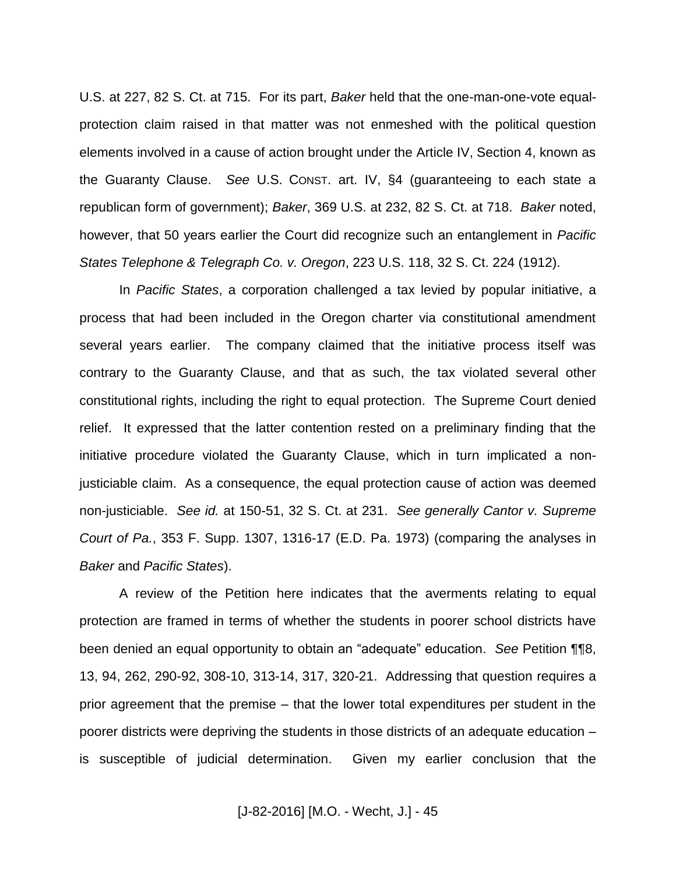U.S. at 227, 82 S. Ct. at 715. For its part, *Baker* held that the one-man-one-vote equalprotection claim raised in that matter was not enmeshed with the political question elements involved in a cause of action brought under the Article IV, Section 4, known as the Guaranty Clause. *See* U.S. CONST. art. IV, §4 (guaranteeing to each state a republican form of government); *Baker*, 369 U.S. at 232, 82 S. Ct. at 718. *Baker* noted, however, that 50 years earlier the Court did recognize such an entanglement in *Pacific States Telephone & Telegraph Co. v. Oregon*, 223 U.S. 118, 32 S. Ct. 224 (1912).

In *Pacific States*, a corporation challenged a tax levied by popular initiative, a process that had been included in the Oregon charter via constitutional amendment several years earlier. The company claimed that the initiative process itself was contrary to the Guaranty Clause, and that as such, the tax violated several other constitutional rights, including the right to equal protection. The Supreme Court denied relief. It expressed that the latter contention rested on a preliminary finding that the initiative procedure violated the Guaranty Clause, which in turn implicated a nonjusticiable claim. As a consequence, the equal protection cause of action was deemed non-justiciable. *See id.* at 150-51, 32 S. Ct. at 231. *See generally Cantor v. Supreme Court of Pa.*, 353 F. Supp. 1307, 1316-17 (E.D. Pa. 1973) (comparing the analyses in *Baker* and *Pacific States*).

A review of the Petition here indicates that the averments relating to equal protection are framed in terms of whether the students in poorer school districts have been denied an equal opportunity to obtain an "adequate" education. *See* Petition ¶¶8, 13, 94, 262, 290-92, 308-10, 313-14, 317, 320-21. Addressing that question requires a prior agreement that the premise – that the lower total expenditures per student in the poorer districts were depriving the students in those districts of an adequate education – is susceptible of judicial determination. Given my earlier conclusion that the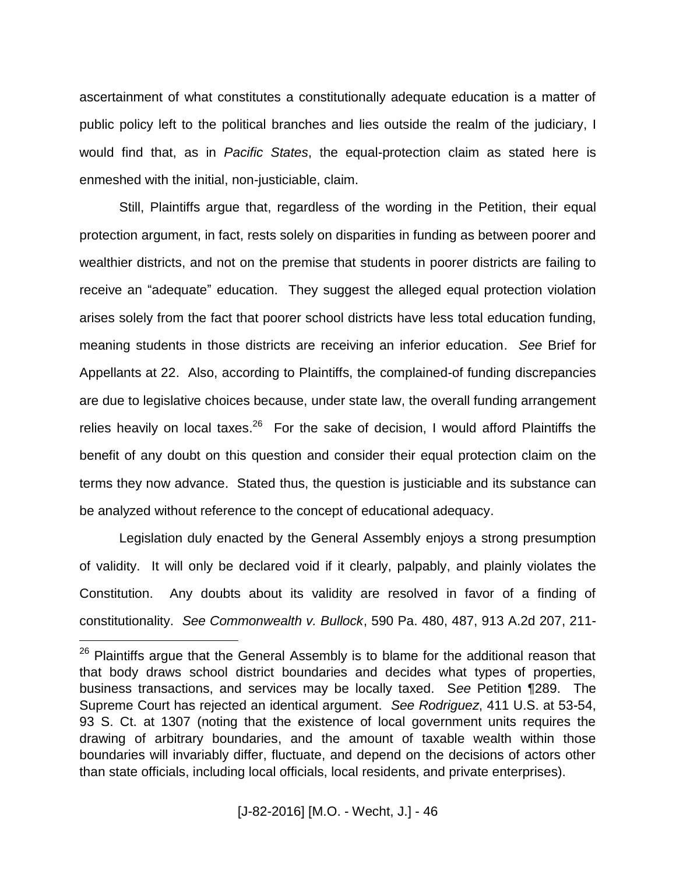ascertainment of what constitutes a constitutionally adequate education is a matter of public policy left to the political branches and lies outside the realm of the judiciary, I would find that, as in *Pacific States*, the equal-protection claim as stated here is enmeshed with the initial, non-justiciable, claim.

Still, Plaintiffs argue that, regardless of the wording in the Petition, their equal protection argument, in fact, rests solely on disparities in funding as between poorer and wealthier districts, and not on the premise that students in poorer districts are failing to receive an "adequate" education. They suggest the alleged equal protection violation arises solely from the fact that poorer school districts have less total education funding, meaning students in those districts are receiving an inferior education. *See* Brief for Appellants at 22. Also, according to Plaintiffs, the complained-of funding discrepancies are due to legislative choices because, under state law, the overall funding arrangement relies heavily on local taxes.<sup>26</sup> For the sake of decision, I would afford Plaintiffs the benefit of any doubt on this question and consider their equal protection claim on the terms they now advance. Stated thus, the question is justiciable and its substance can be analyzed without reference to the concept of educational adequacy.

Legislation duly enacted by the General Assembly enjoys a strong presumption of validity. It will only be declared void if it clearly, palpably, and plainly violates the Constitution. Any doubts about its validity are resolved in favor of a finding of constitutionality. *See Commonwealth v. Bullock*, 590 Pa. 480, 487, 913 A.2d 207, 211-

<sup>&</sup>lt;sup>26</sup> Plaintiffs argue that the General Assembly is to blame for the additional reason that that body draws school district boundaries and decides what types of properties, business transactions, and services may be locally taxed. S*ee* Petition ¶289. The Supreme Court has rejected an identical argument. *See Rodriguez*, 411 U.S. at 53-54, 93 S. Ct. at 1307 (noting that the existence of local government units requires the drawing of arbitrary boundaries, and the amount of taxable wealth within those boundaries will invariably differ, fluctuate, and depend on the decisions of actors other than state officials, including local officials, local residents, and private enterprises).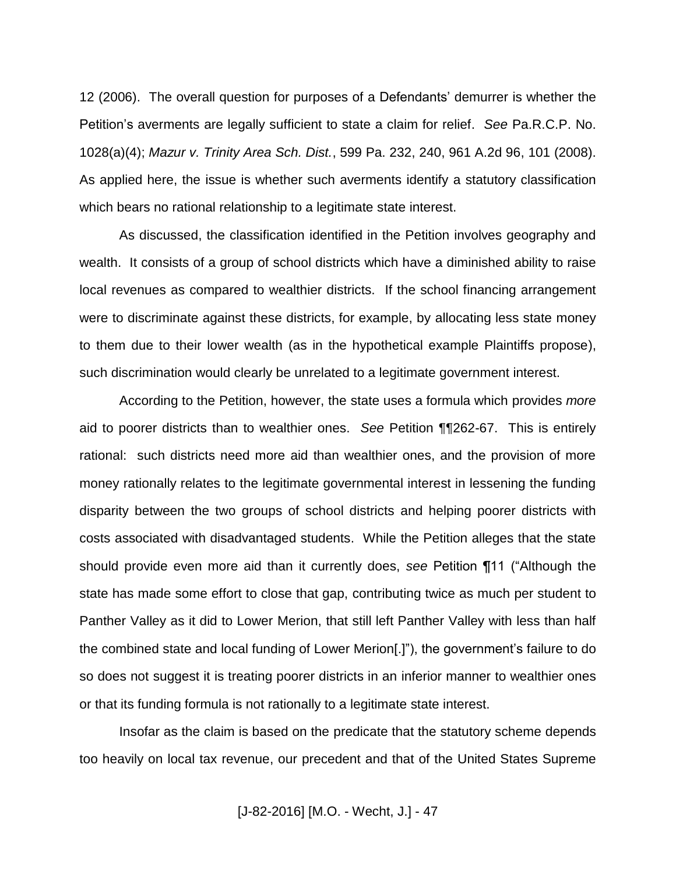12 (2006). The overall question for purposes of a Defendants' demurrer is whether the Petition's averments are legally sufficient to state a claim for relief. *See* Pa.R.C.P. No. 1028(a)(4); *Mazur v. Trinity Area Sch. Dist.*, 599 Pa. 232, 240, 961 A.2d 96, 101 (2008). As applied here, the issue is whether such averments identify a statutory classification which bears no rational relationship to a legitimate state interest.

As discussed, the classification identified in the Petition involves geography and wealth. It consists of a group of school districts which have a diminished ability to raise local revenues as compared to wealthier districts. If the school financing arrangement were to discriminate against these districts, for example, by allocating less state money to them due to their lower wealth (as in the hypothetical example Plaintiffs propose), such discrimination would clearly be unrelated to a legitimate government interest.

According to the Petition, however, the state uses a formula which provides *more* aid to poorer districts than to wealthier ones. *See* Petition ¶¶262-67. This is entirely rational: such districts need more aid than wealthier ones, and the provision of more money rationally relates to the legitimate governmental interest in lessening the funding disparity between the two groups of school districts and helping poorer districts with costs associated with disadvantaged students. While the Petition alleges that the state should provide even more aid than it currently does, *see* Petition ¶11 ("Although the state has made some effort to close that gap, contributing twice as much per student to Panther Valley as it did to Lower Merion, that still left Panther Valley with less than half the combined state and local funding of Lower Merion[.]"), the government's failure to do so does not suggest it is treating poorer districts in an inferior manner to wealthier ones or that its funding formula is not rationally to a legitimate state interest.

Insofar as the claim is based on the predicate that the statutory scheme depends too heavily on local tax revenue, our precedent and that of the United States Supreme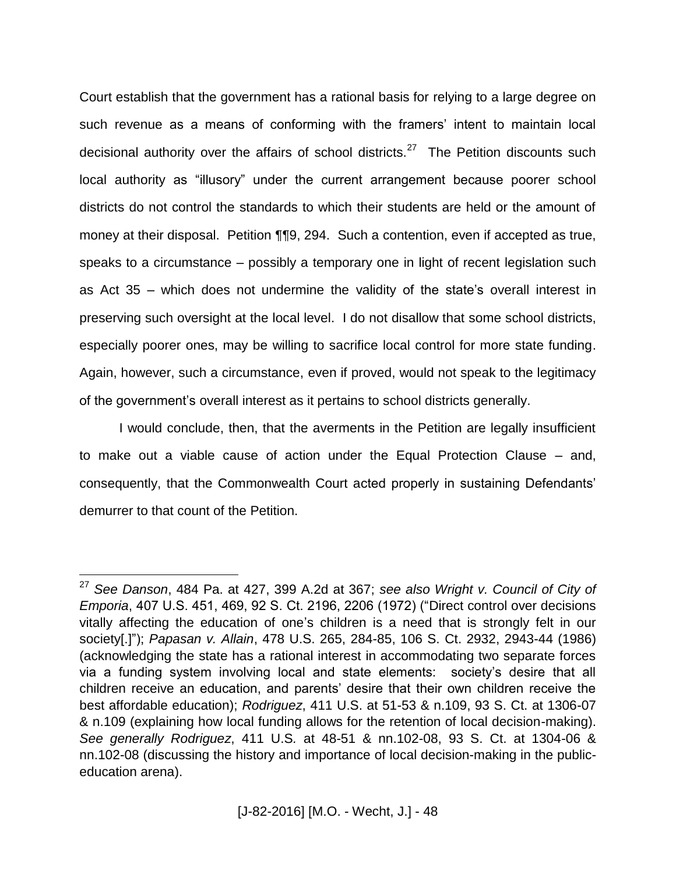Court establish that the government has a rational basis for relying to a large degree on such revenue as a means of conforming with the framers' intent to maintain local decisional authority over the affairs of school districts.<sup>27</sup> The Petition discounts such local authority as "illusory" under the current arrangement because poorer school districts do not control the standards to which their students are held or the amount of money at their disposal. Petition ¶¶9, 294. Such a contention, even if accepted as true, speaks to a circumstance – possibly a temporary one in light of recent legislation such as Act 35 – which does not undermine the validity of the state's overall interest in preserving such oversight at the local level. I do not disallow that some school districts, especially poorer ones, may be willing to sacrifice local control for more state funding. Again, however, such a circumstance, even if proved, would not speak to the legitimacy of the government's overall interest as it pertains to school districts generally.

I would conclude, then, that the averments in the Petition are legally insufficient to make out a viable cause of action under the Equal Protection Clause – and, consequently, that the Commonwealth Court acted properly in sustaining Defendants' demurrer to that count of the Petition.

<sup>27</sup> *See Danson*, 484 Pa. at 427, 399 A.2d at 367; *see also Wright v. Council of City of Emporia*, 407 U.S. 451, 469, 92 S. Ct. 2196, 2206 (1972) ("Direct control over decisions vitally affecting the education of one's children is a need that is strongly felt in our society[.]"); *Papasan v. Allain*, 478 U.S. 265, 284-85, 106 S. Ct. 2932, 2943-44 (1986) (acknowledging the state has a rational interest in accommodating two separate forces via a funding system involving local and state elements: society's desire that all children receive an education, and parents' desire that their own children receive the best affordable education); *Rodriguez*, 411 U.S. at 51-53 & n.109, 93 S. Ct. at 1306-07 & n.109 (explaining how local funding allows for the retention of local decision-making). *See generally Rodriguez*, 411 U.S*.* at 48-51 & nn.102-08, 93 S. Ct. at 1304-06 & nn.102-08 (discussing the history and importance of local decision-making in the publiceducation arena).